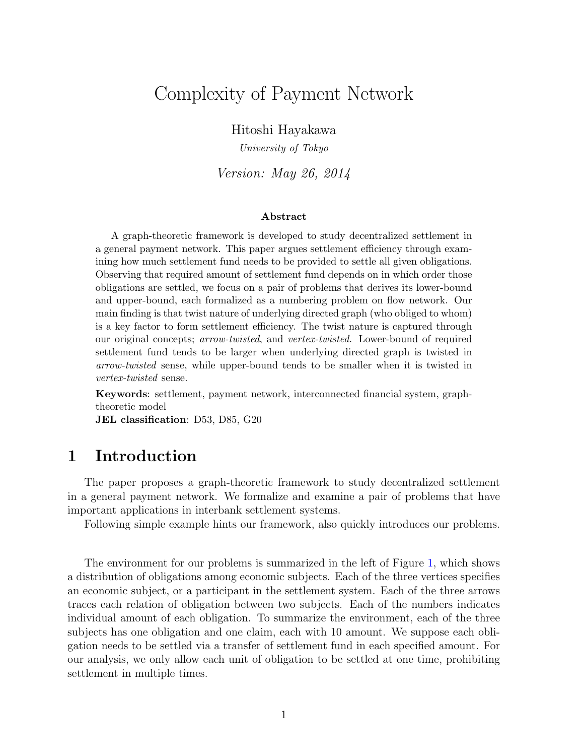# Complexity of Payment Network

Hitoshi Hayakawa

*University of Tokyo*

*Version: May 26, 2014*

#### **Abstract**

A graph-theoretic framework is developed to study decentralized settlement in a general payment network. This paper argues settlement efficiency through examining how much settlement fund needs to be provided to settle all given obligations. Observing that required amount of settlement fund depends on in which order those obligations are settled, we focus on a pair of problems that derives its lower-bound and upper-bound, each formalized as a numbering problem on flow network. Our main finding is that twist nature of underlying directed graph (who obliged to whom) is a key factor to form settlement efficiency. The twist nature is captured through our original concepts; *arrow-twisted*, and *vertex-twisted*. Lower-bound of required settlement fund tends to be larger when underlying directed graph is twisted in *arrow-twisted* sense, while upper-bound tends to be smaller when it is twisted in *vertex-twisted* sense.

**Keywords**: settlement, payment network, interconnected financial system, graphtheoretic model

**JEL classification**: D53, D85, G20

## **1 Introduction**

The paper proposes a graph-theoretic framework to study decentralized settlement in a general payment network. We formalize and examine a pair of problems that have important applications in interbank settlement systems.

Following simple example hints our framework, also quickly introduces our problems.

The environment for our problems is summarized in the left of Figure [1,](#page-1-0) which shows a distribution of obligations among economic subjects. Each of the three vertices specifies an economic subject, or a participant in the settlement system. Each of the three arrows traces each relation of obligation between two subjects. Each of the numbers indicates individual amount of each obligation. To summarize the environment, each of the three subjects has one obligation and one claim, each with 10 amount. We suppose each obligation needs to be settled via a transfer of settlement fund in each specified amount. For our analysis, we only allow each unit of obligation to be settled at one time, prohibiting settlement in multiple times.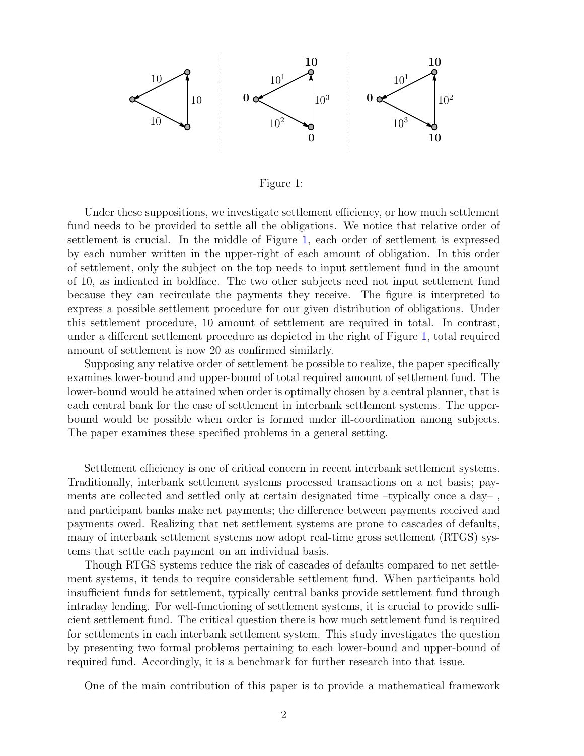



<span id="page-1-0"></span>Under these suppositions, we investigate settlement efficiency, or how much settlement fund needs to be provided to settle all the obligations. We notice that relative order of settlement is crucial. In the middle of Figure [1,](#page-1-0) each order of settlement is expressed by each number written in the upper-right of each amount of obligation. In this order of settlement, only the subject on the top needs to input settlement fund in the amount of 10, as indicated in boldface. The two other subjects need not input settlement fund because they can recirculate the payments they receive. The figure is interpreted to express a possible settlement procedure for our given distribution of obligations. Under this settlement procedure, 10 amount of settlement are required in total. In contrast, under a different settlement procedure as depicted in the right of Figure [1,](#page-1-0) total required amount of settlement is now 20 as confirmed similarly.

Supposing any relative order of settlement be possible to realize, the paper specifically examines lower-bound and upper-bound of total required amount of settlement fund. The lower-bound would be attained when order is optimally chosen by a central planner, that is each central bank for the case of settlement in interbank settlement systems. The upperbound would be possible when order is formed under ill-coordination among subjects. The paper examines these specified problems in a general setting.

Settlement efficiency is one of critical concern in recent interbank settlement systems. Traditionally, interbank settlement systems processed transactions on a net basis; payments are collected and settled only at certain designated time –typically once a day– , and participant banks make net payments; the difference between payments received and payments owed. Realizing that net settlement systems are prone to cascades of defaults, many of interbank settlement systems now adopt real-time gross settlement (RTGS) systems that settle each payment on an individual basis.

Though RTGS systems reduce the risk of cascades of defaults compared to net settlement systems, it tends to require considerable settlement fund. When participants hold insufficient funds for settlement, typically central banks provide settlement fund through intraday lending. For well-functioning of settlement systems, it is crucial to provide sufficient settlement fund. The critical question there is how much settlement fund is required for settlements in each interbank settlement system. This study investigates the question by presenting two formal problems pertaining to each lower-bound and upper-bound of required fund. Accordingly, it is a benchmark for further research into that issue.

One of the main contribution of this paper is to provide a mathematical framework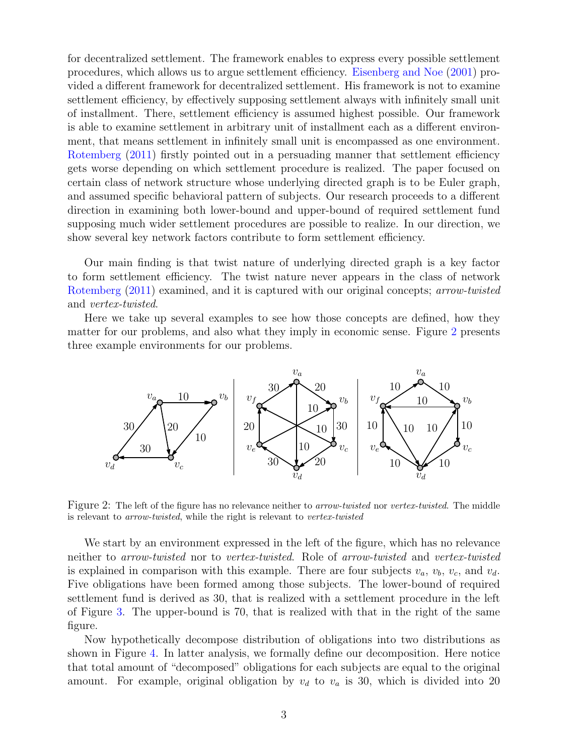for decentralized settlement. The framework enables to express every possible settlement procedures, which allows us to argue settlement efficiency. [Eisenberg and Noe](#page-43-0) [\(2001\)](#page-43-0) provided a different framework for decentralized settlement. His framework is not to examine settlement efficiency, by effectively supposing settlement always with infinitely small unit of installment. There, settlement efficiency is assumed highest possible. Our framework is able to examine settlement in arbitrary unit of installment each as a different environment, that means settlement in infinitely small unit is encompassed as one environment. [Rotemberg](#page-43-1) [\(2011\)](#page-43-1) firstly pointed out in a persuading manner that settlement efficiency gets worse depending on which settlement procedure is realized. The paper focused on certain class of network structure whose underlying directed graph is to be Euler graph, and assumed specific behavioral pattern of subjects. Our research proceeds to a different direction in examining both lower-bound and upper-bound of required settlement fund supposing much wider settlement procedures are possible to realize. In our direction, we show several key network factors contribute to form settlement efficiency.

Our main finding is that twist nature of underlying directed graph is a key factor to form settlement efficiency. The twist nature never appears in the class of network [Rotemberg](#page-43-1) [\(2011\)](#page-43-1) examined, and it is captured with our original concepts; *arrow-twisted* and *vertex-twisted*.

Here we take up several examples to see how those concepts are defined, how they matter for our problems, and also what they imply in economic sense. Figure [2](#page-2-0) presents three example environments for our problems.



<span id="page-2-0"></span>Figure 2: The left of the figure has no relevance neither to *arrow-twisted* nor *vertex-twisted*. The middle is relevant to *arrow-twisted*, while the right is relevant to *vertex-twisted*

We start by an environment expressed in the left of the figure, which has no relevance neither to *arrow-twisted* nor to *vertex-twisted*. Role of *arrow-twisted* and *vertex-twisted* is explained in comparison with this example. There are four subjects  $v_a$ ,  $v_b$ ,  $v_c$ , and  $v_d$ . Five obligations have been formed among those subjects. The lower-bound of required settlement fund is derived as 30, that is realized with a settlement procedure in the left of Figure [3.](#page-3-0) The upper-bound is 70, that is realized with that in the right of the same figure.

Now hypothetically decompose distribution of obligations into two distributions as shown in Figure [4.](#page-3-1) In latter analysis, we formally define our decomposition. Here notice that total amount of "decomposed" obligations for each subjects are equal to the original amount. For example, original obligation by  $v_d$  to  $v_a$  is 30, which is divided into 20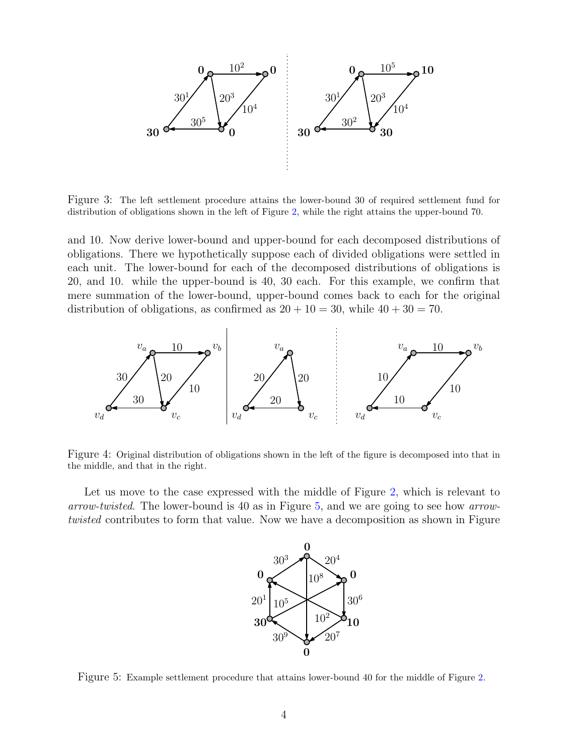

<span id="page-3-0"></span>Figure 3: The left settlement procedure attains the lower-bound 30 of required settlement fund for distribution of obligations shown in the left of Figure [2,](#page-2-0) while the right attains the upper-bound 70.

and 10. Now derive lower-bound and upper-bound for each decomposed distributions of obligations. There we hypothetically suppose each of divided obligations were settled in each unit. The lower-bound for each of the decomposed distributions of obligations is 20, and 10. while the upper-bound is 40, 30 each. For this example, we confirm that mere summation of the lower-bound, upper-bound comes back to each for the original distribution of obligations, as confirmed as  $20 + 10 = 30$ , while  $40 + 30 = 70$ .



<span id="page-3-1"></span>Figure 4: Original distribution of obligations shown in the left of the figure is decomposed into that in the middle, and that in the right.

Let us move to the case expressed with the middle of Figure [2,](#page-2-0) which is relevant to *arrow-twisted*. The lower-bound is 40 as in Figure [5,](#page-3-2) and we are going to see how *arrowtwisted* contributes to form that value. Now we have a decomposition as shown in Figure



<span id="page-3-2"></span>Figure 5: Example settlement procedure that attains lower-bound 40 for the middle of Figure [2.](#page-2-0)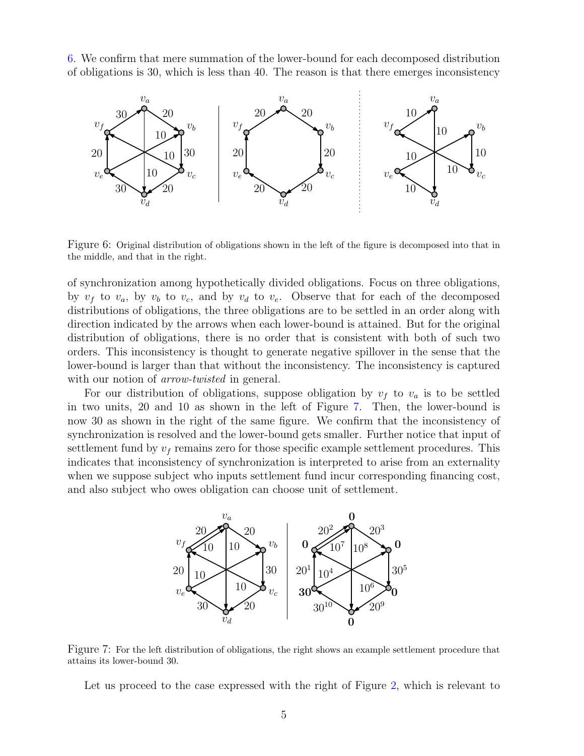[6.](#page-4-0) We confirm that mere summation of the lower-bound for each decomposed distribution of obligations is 30, which is less than 40. The reason is that there emerges inconsistency



<span id="page-4-0"></span>Figure 6: Original distribution of obligations shown in the left of the figure is decomposed into that in the middle, and that in the right.

of synchronization among hypothetically divided obligations. Focus on three obligations, by  $v_f$  to  $v_a$ , by  $v_b$  to  $v_c$ , and by  $v_d$  to  $v_e$ . Observe that for each of the decomposed distributions of obligations, the three obligations are to be settled in an order along with direction indicated by the arrows when each lower-bound is attained. But for the original distribution of obligations, there is no order that is consistent with both of such two orders. This inconsistency is thought to generate negative spillover in the sense that the lower-bound is larger than that without the inconsistency. The inconsistency is captured with our notion of *arrow-twisted* in general.

For our distribution of obligations, suppose obligation by  $v_f$  to  $v_a$  is to be settled in two units, 20 and 10 as shown in the left of Figure [7.](#page-4-1) Then, the lower-bound is now 30 as shown in the right of the same figure. We confirm that the inconsistency of synchronization is resolved and the lower-bound gets smaller. Further notice that input of settlement fund by  $v_f$  remains zero for those specific example settlement procedures. This indicates that inconsistency of synchronization is interpreted to arise from an externality when we suppose subject who inputs settlement fund incur corresponding financing cost, and also subject who owes obligation can choose unit of settlement.



<span id="page-4-1"></span>Figure 7: For the left distribution of obligations, the right shows an example settlement procedure that attains its lower-bound 30.

Let us proceed to the case expressed with the right of Figure [2,](#page-2-0) which is relevant to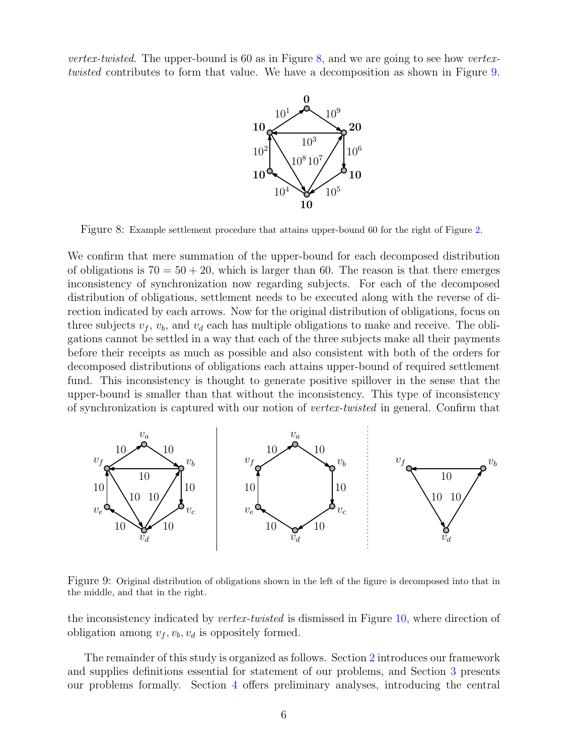*vertex-twisted*. The upper-bound is 60 as in Figure [8,](#page-5-0) and we are going to see how *vertextwisted* contributes to form that value. We have a decomposition as shown in Figure [9.](#page-5-1)



<span id="page-5-0"></span>Figure 8: Example settlement procedure that attains upper-bound 60 for the right of Figure [2.](#page-2-0)

We confirm that mere summation of the upper-bound for each decomposed distribution of obligations is  $70 = 50 + 20$ , which is larger than 60. The reason is that there emerges inconsistency of synchronization now regarding subjects. For each of the decomposed distribution of obligations, settlement needs to be executed along with the reverse of direction indicated by each arrows. Now for the original distribution of obligations, focus on three subjects  $v_f$ ,  $v_b$ , and  $v_d$  each has multiple obligations to make and receive. The obligations cannot be settled in a way that each of the three subjects make all their payments before their receipts as much as possible and also consistent with both of the orders for decomposed distributions of obligations each attains upper-bound of required settlement fund. This inconsistency is thought to generate positive spillover in the sense that the upper-bound is smaller than that without the inconsistency. This type of inconsistency of synchronization is captured with our notion of *vertex-twisted* in general. Confirm that



<span id="page-5-1"></span>Figure 9: Original distribution of obligations shown in the left of the figure is decomposed into that in the middle, and that in the right.

the inconsistency indicated by *vertex-twisted* is dismissed in Figure [10,](#page-6-0) where direction of obligation among  $v_f, v_b, v_d$  is oppositely formed.

The remainder of this study is organized as follows. Section [2](#page-6-1) introduces our framework and supplies definitions essential for statement of our problems, and Section [3](#page-8-0) presents our problems formally. Section [4](#page-9-0) offers preliminary analyses, introducing the central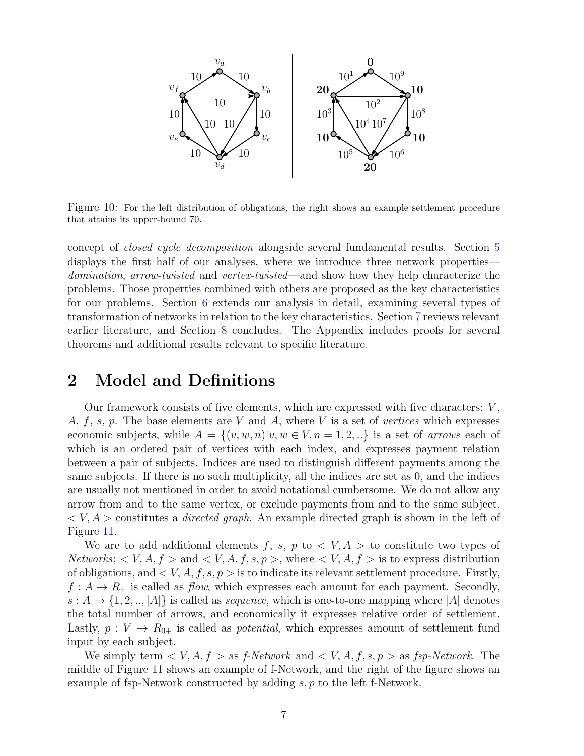

<span id="page-6-0"></span>Figure 10: For the left distribution of obligations, the right shows an example settlement procedure that attains its upper-bound 70.

concept of *closed cycle decomposition* alongside several fundamental results. Section [5](#page-12-0) displays the first half of our analyses, where we introduce three network properties *domination*, *arrow-twisted* and *vertex-twisted*—and show how they help characterize the problems. Those properties combined with others are proposed as the key characteristics for our problems. Section [6](#page-23-0) extends our analysis in detail, examining several types of transformation of networks in relation to the key characteristics. Section [7](#page-36-0) reviews relevant earlier literature, and Section [8](#page-38-0) concludes. The Appendix includes proofs for several theorems and additional results relevant to specific literature.

## <span id="page-6-1"></span>**2 Model and Definitions**

Our framework consists of five elements, which are expressed with five characters: *V* , *A*, *f*, *s*, *p*. The base elements are *V* and *A*, where *V* is a set of *vertices* which expresses economic subjects, while  $A = \{(v, w, n)|v, w \in V, n = 1, 2, ...\}$  is a set of *arrows* each of which is an ordered pair of vertices with each index, and expresses payment relation between a pair of subjects. Indices are used to distinguish different payments among the same subjects. If there is no such multiplicity, all the indices are set as 0, and the indices are usually not mentioned in order to avoid notational cumbersome. We do not allow any arrow from and to the same vertex, or exclude payments from and to the same subject. *< V, A >* constitutes a *directed graph*. An example directed graph is shown in the left of Figure [11.](#page-7-0)

We are to add additional elements  $f, s, p$  to  $\lt V, A >$  to constitute two types of *Networks*;  $\langle V, A, f \rangle$  and  $\langle V, A, f, s, p \rangle$ , where  $\langle V, A, f \rangle$  is to express distribution of obligations, and  $\langle V, A, f, s, p \rangle$  is to indicate its relevant settlement procedure. Firstly,  $f: A \to R_+$  is called as *flow*, which expresses each amount for each payment. Secondly,  $s: A \rightarrow \{1, 2, \ldots, |A|\}$  is called as *sequence*, which is one-to-one mapping where  $|A|$  denotes the total number of arrows, and economically it expresses relative order of settlement. Lastly,  $p: V \to R_{0+}$  is called as *potential*, which expresses amount of settlement fund input by each subject.

We simply term  $\langle V, A, f \rangle$  as *f-Network* and  $\langle V, A, f, s, p \rangle$  as *fsp-Network*. The middle of Figure [11](#page-7-0) shows an example of f-Network, and the right of the figure shows an example of fsp-Network constructed by adding *s, p* to the left f-Network.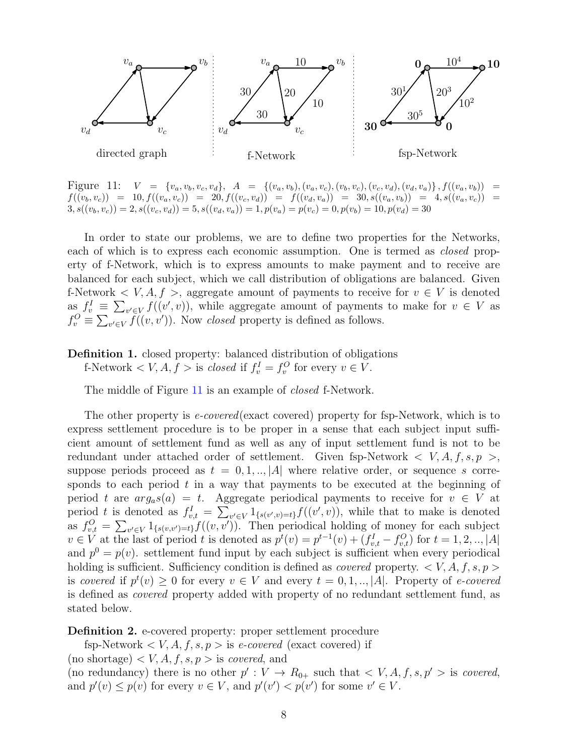

<span id="page-7-0"></span>Figure 11:  $V = \{v_a, v_b, v_c, v_d\}, A = \{(v_a, v_b), (v_a, v_c), (v_b, v_c), (v_c, v_d), (v_d, v_a)\}, f((v_a, v_b)) =$  $f((v_b, v_c)) = 10, f((v_a, v_c)) = 20, f((v_c, v_d)) = f((v_d, v_a)) = 30, s((v_a, v_b)) = 4, s((v_a, v_c)) = 10$  $3, s((v_b, v_c)) = 2, s((v_c, v_d)) = 5, s((v_d, v_a)) = 1, p(v_a) = p(v_c) = 0, p(v_b) = 10, p(v_d) = 30$ 

In order to state our problems, we are to define two properties for the Networks, each of which is to express each economic assumption. One is termed as *closed* property of f-Network, which is to express amounts to make payment and to receive are balanced for each subject, which we call distribution of obligations are balanced. Given f-Network  $\langle V, A, f \rangle$ , aggregate amount of payments to receive for  $v \in V$  is denoted as  $f_v^I \equiv \sum_{v' \in V} f((v', v))$ , while aggregate amount of payments to make for  $v \in V$  as  $f_v^O \equiv \sum_{v' \in V} \widetilde{f}((v, v'))$ . Now *closed* property is defined as follows.

**Definition 1.** closed property: balanced distribution of obligations

f-Network  $\langle V, A, f \rangle$  is *closed* if  $f_v^I = f_v^O$  for every  $v \in V$ .

The middle of Figure [11](#page-7-0) is an example of *closed* f-Network.

The other property is *e-covered*(exact covered) property for fsp-Network, which is to express settlement procedure is to be proper in a sense that each subject input sufficient amount of settlement fund as well as any of input settlement fund is not to be redundant under attached order of settlement. Given fsp-Network *< V, A, f, s, p >*, suppose periods proceed as  $t = 0, 1, \ldots, |A|$  where relative order, or sequence *s* corresponds to each period *t* in a way that payments to be executed at the beginning of period *t* are  $arg_a s(a) = t$ . Aggregate periodical payments to receive for  $v \in V$  at period t is denoted as  $f_{v,t}^I = \sum_{v' \in V} 1_{\{s(v',v)=t\}} f((v',v)),$  while that to make is denoted as  $f_{v,t}^O = \sum_{v' \in V} 1_{\{s(v,v')=t\}} f((v, v'))$ . Then periodical holding of money for each subject  $v \in V$  at the last of period t is denoted as  $p^t(v) = p^{t-1}(v) + (f_{v,t}^I - f_{v,t}^O)$  for  $t = 1, 2, ..., |A|$ and  $p^0 = p(v)$ , settlement fund input by each subject is sufficient when every periodical holding is sufficient. Sufficiency condition is defined as *covered* property. *< V, A, f, s, p >* is *covered* if  $p^t(v) \geq 0$  for every  $v \in V$  and every  $t = 0, 1, \ldots, |A|$ . Property of *e-covered* is defined as *covered* property added with property of no redundant settlement fund, as stated below.

**Definition 2.** e-covered property: proper settlement procedure

fsp-Network  $\langle V, A, f, s \rangle$  is *e-covered* (exact covered) if

 $(n \text{ o shortage}) < V, A, f, s, p > \text{ is covered, and}$ 

(no redundancy) there is no other  $p' : V \to R_{0+}$  such that  $\langle V, A, f, s, p' \rangle$  is *covered*, and  $p'(v) \leq p(v)$  for every  $v \in V$ , and  $p'(v') < p(v')$  for some  $v' \in V$ .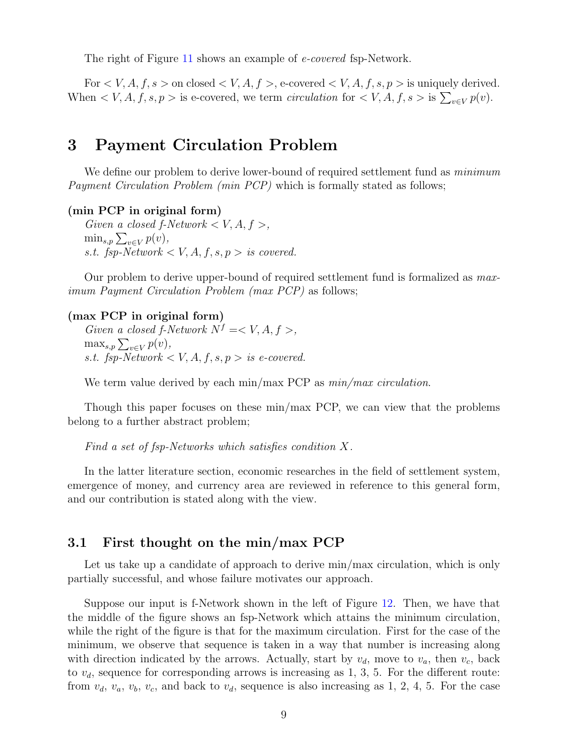The right of Figure [11](#page-7-0) shows an example of *e-covered* fsp-Network.

For  $\lt V$ , A, f, s  $>$  on closed  $\lt V$ , A, f  $>$ , e-covered  $\lt V$ , A, f, s, p  $>$  is uniquely derived. When  $\langle V, A, f, s \rangle > 0$  is e-covered, we term *circulation* for  $\langle V, A, f, s \rangle$  is  $\sum_{v \in V} p(v)$ .

## <span id="page-8-0"></span>**3 Payment Circulation Problem**

We define our problem to derive lower-bound of required settlement fund as *minimum Payment Circulation Problem (min PCP)* which is formally stated as follows;

#### **(min PCP in original form)**

*Given a closed f-Network*  $\lt V, A, f >$ ,  $\min_{s,p} \sum_{v \in V} p(v)$ , *s.t.* fsp-Network  $\lt V$ , A, f, s, p  $>$  *is covered.* 

Our problem to derive upper-bound of required settlement fund is formalized as *maximum Payment Circulation Problem (max PCP)* as follows;

#### **(max PCP in original form)**

*Given a closed f-Network*  $N^f = \langle V, A, f \rangle$ ,  $\max_{s,p} \sum_{v \in V} p(v)$ , *s.t.* fsp-Network  $\lt V$ , A, f, s, p  $>$  is e-covered.

We term value derived by each min/max PCP as *min/max circulation*.

Though this paper focuses on these min/max PCP, we can view that the problems belong to a further abstract problem;

*Find a set of fsp-Networks which satisfies condition X.*

In the latter literature section, economic researches in the field of settlement system, emergence of money, and currency area are reviewed in reference to this general form, and our contribution is stated along with the view.

### **3.1 First thought on the min/max PCP**

Let us take up a candidate of approach to derive min/max circulation, which is only partially successful, and whose failure motivates our approach.

Suppose our input is f-Network shown in the left of Figure [12.](#page-9-1) Then, we have that the middle of the figure shows an fsp-Network which attains the minimum circulation, while the right of the figure is that for the maximum circulation. First for the case of the minimum, we observe that sequence is taken in a way that number is increasing along with direction indicated by the arrows. Actually, start by  $v_d$ , move to  $v_a$ , then  $v_c$ , back to  $v_d$ , sequence for corresponding arrows is increasing as 1, 3, 5. For the different route: from  $v_d$ ,  $v_a$ ,  $v_b$ ,  $v_c$ , and back to  $v_d$ , sequence is also increasing as 1, 2, 4, 5. For the case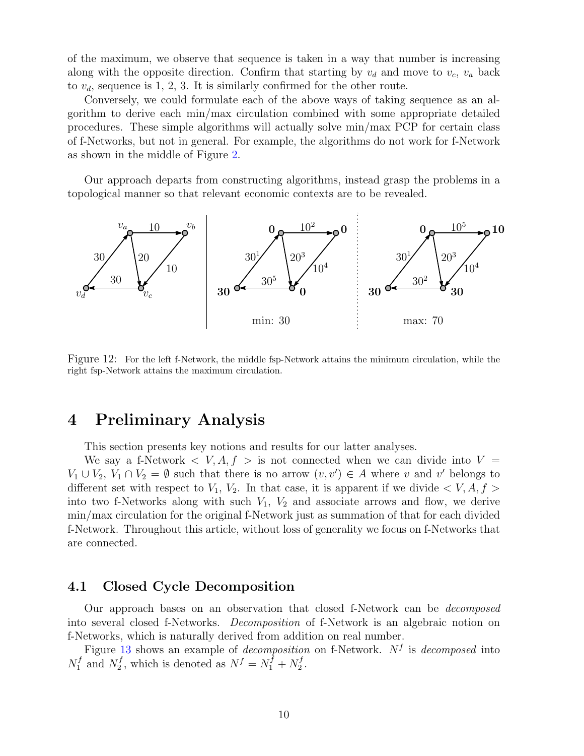of the maximum, we observe that sequence is taken in a way that number is increasing along with the opposite direction. Confirm that starting by  $v_d$  and move to  $v_c$ ,  $v_a$  back to  $v_d$ , sequence is 1, 2, 3. It is similarly confirmed for the other route.

Conversely, we could formulate each of the above ways of taking sequence as an algorithm to derive each min/max circulation combined with some appropriate detailed procedures. These simple algorithms will actually solve min/max PCP for certain class of f-Networks, but not in general. For example, the algorithms do not work for f-Network as shown in the middle of Figure [2.](#page-2-0)

Our approach departs from constructing algorithms, instead grasp the problems in a topological manner so that relevant economic contexts are to be revealed.



<span id="page-9-1"></span>Figure 12: For the left f-Network, the middle fsp-Network attains the minimum circulation, while the right fsp-Network attains the maximum circulation.

## <span id="page-9-0"></span>**4 Preliminary Analysis**

This section presents key notions and results for our latter analyses.

We say a f-Network  $\langle V, A, f \rangle$  is not connected when we can divide into  $V =$ *V*<sub>1</sub> ∪ *V*<sub>2</sub>, *V*<sub>1</sub> ∩ *V*<sub>2</sub> =  $\emptyset$  such that there is no arrow  $(v, v') \in A$  where *v* and *v*<sup>*'*</sup> belongs to different set with respect to  $V_1$ ,  $V_2$ . In that case, it is apparent if we divide  $\langle V, A, f \rangle$ into two f-Networks along with such *V*1, *V*<sup>2</sup> and associate arrows and flow, we derive min/max circulation for the original f-Network just as summation of that for each divided f-Network. Throughout this article, without loss of generality we focus on f-Networks that are connected.

### **4.1 Closed Cycle Decomposition**

Our approach bases on an observation that closed f-Network can be *decomposed* into several closed f-Networks. *Decomposition* of f-Network is an algebraic notion on f-Networks, which is naturally derived from addition on real number.

Figure [13](#page-10-0) shows an example of *decomposition* on f-Network. *N<sup>f</sup>* is *decomposed* into  $N_1^f$  $N_1^f$  and  $N_2^f$  $N_f^f$ , which is denoted as  $N^f = N_1^f + N_2^f$  $\frac{J}{2}$ .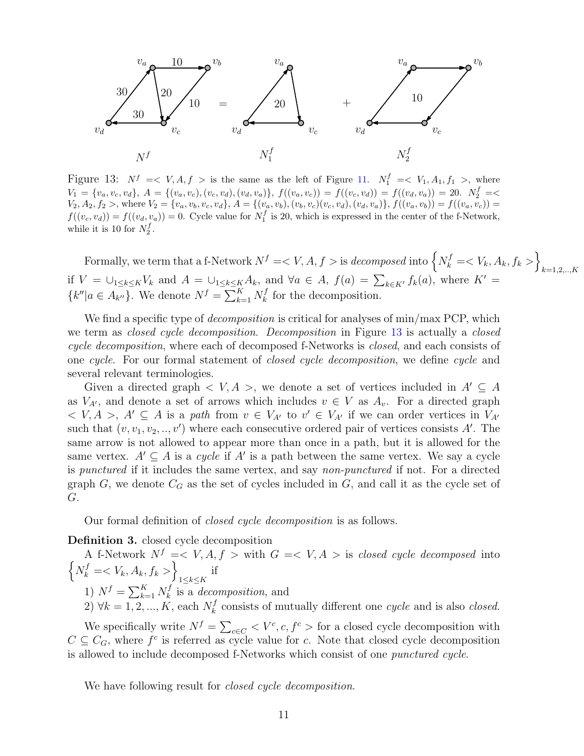

<span id="page-10-0"></span>Figure 13:  $N^f \leq V, A, f >$  is the same as the left of Figure [11.](#page-7-0)  $N_1^f \leq V_1, A_1, f_1 >$ , where  $V_1 = \{v_a, v_c, v_d\}, A = \{(v_a, v_c), (v_c, v_d), (v_d, v_a)\}, f((v_a, v_c)) = f((v_c, v_d)) = f((v_d, v_a)) = 20.$   $N_2^f = \langle v_a, v_a, v_d \rangle$  $V_2, A_2, f_2 >$ , where  $V_2 = \{v_a, v_b, v_c, v_d\}$ ,  $A = \{(v_a, v_b), (v_b, v_c)(v_c, v_d), (v_d, v_a)\}$ ,  $f((v_a, v_b)) = f((v_a, v_c)) =$  $f((v_c, v_d)) = f((v_d, v_a)) = 0$ . Cycle value for  $N_1^f$  is 20, which is expressed in the center of the f-Network, while it is 10 for  $N_2^f$ .

Formally, we term that a f-Network  $N^f = \langle V, A, f \rangle$  is *decomposed* into  $\left\{ N^f_k = \langle V_k, A_k, f_k \rangle \right\}$ *k*=1*,*2*,..,K* if  $V = \bigcup_{1 \leq k \leq K} V_k$  and  $A = \bigcup_{1 \leq k \leq K} A_k$ , and  $\forall a \in A$ ,  $f(a) = \sum_{k \in K'} f_k(a)$ , where  $K' =$  ${k''|a \in A_{k''}}$ . We denote  $N^f = \sum_{k=1}^K N_k^f$  $k \nvert k$  for the decomposition.

We find a specific type of *decomposition* is critical for analyses of min/max PCP, which we term as *closed cycle decomposition*. *Decomposition* in Figure [13](#page-10-0) is actually a *closed cycle decomposition*, where each of decomposed f-Networks is *closed*, and each consists of one *cycle*. For our formal statement of *closed cycle decomposition*, we define *cycle* and several relevant terminologies.

Given a directed graph  $\langle V, A \rangle$ , we denote a set of vertices included in  $A' \subseteq A$ as  $V_{A'}$ , and denote a set of arrows which includes  $v \in V$  as  $A_v$ . For a directed graph  $V, A > A' \subseteq A$  is a *path* from  $v \in V_{A'}$  to  $v' \in V_{A'}$  if we can order vertices in  $V_{A'}$ such that  $(v, v_1, v_2, \ldots, v')$  where each consecutive ordered pair of vertices consists A'. The same arrow is not allowed to appear more than once in a path, but it is allowed for the same vertex.  $A' \subseteq A$  is a *cycle* if  $A'$  is a path between the same vertex. We say a cycle is *punctured* if it includes the same vertex, and say *non-punctured* if not. For a directed graph  $G$ , we denote  $C_G$  as the set of cycles included in  $G$ , and call it as the cycle set of *G*.

Our formal definition of *closed cycle decomposition* is as follows.

**Definition 3.** closed cycle decomposition

 $\left\{ N_k^f = \langle V_k, A_k, f_k \rangle \right\}$ A f-Network  $N^f = \langle V, A, f \rangle$  with  $G = \langle V, A \rangle$  is *closed cycle decomposed* into 1*≤k≤K* if 1)  $N^f = \sum_{k=1}^K N^f_k$  $\mathbf{r}_k^f$  is a *decomposition*, and

2)  $\forall k = 1, 2, ..., K$ , each  $N_k^f$ *k* consists of mutually different one *cycle* and is also *closed*.

We specifically write  $N^f = \sum_{c \in C} \langle V^c, c, f^c \rangle$  for a closed cycle decomposition with  $C \subseteq C_G$ , where  $f^c$  is referred as cycle value for *c*. Note that closed cycle decomposition is allowed to include decomposed f-Networks which consist of one *punctured cycle*.

We have following result for *closed cycle decomposition*.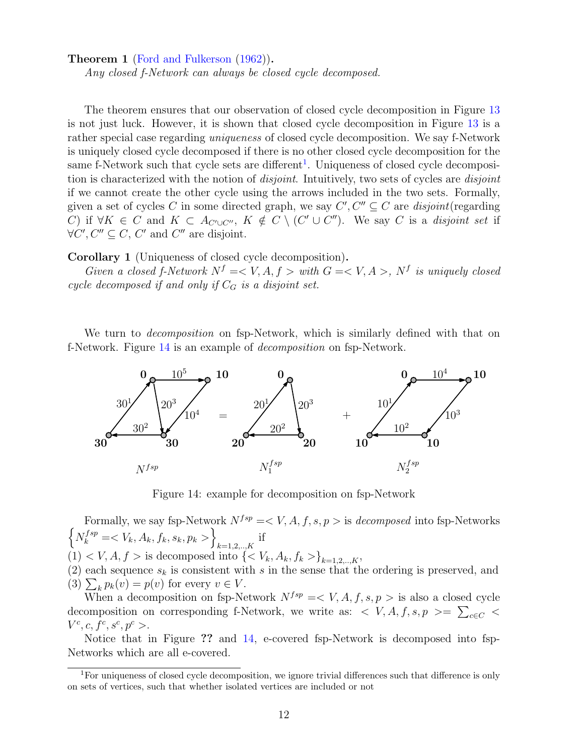**Theorem 1** [\(Ford and Fulkerson](#page-43-2) [\(1962\)](#page-43-2))**.**

*Any closed f-Network can always be closed cycle decomposed.*

The theorem ensures that our observation of closed cycle decomposition in Figure [13](#page-10-0) is not just luck. However, it is shown that closed cycle decomposition in Figure [13](#page-10-0) is a rather special case regarding *uniqueness* of closed cycle decomposition. We say f-Network is uniquely closed cycle decomposed if there is no other closed cycle decomposition for the same f-Network such that cycle sets are different<sup>[1](#page-11-0)</sup>. Uniqueness of closed cycle decomposition is characterized with the notion of *disjoint*. Intuitively, two sets of cycles are *disjoint* if we cannot create the other cycle using the arrows included in the two sets. Formally, given a set of cycles *C* in some directed graph, we say  $C', C'' \subseteq C$  are *disjoint* (regarding C) if  $\forall K \in C$  and  $K \subset A_{C' \cup C''}$ ,  $K \notin C \setminus (C' \cup C'')$ . We say C is a disjoint set if  $\forall C', C'' \subseteq C, C'$  and  $C''$  are disjoint.

<span id="page-11-2"></span>**Corollary 1** (Uniqueness of closed cycle decomposition)**.**

*Given a closed f-Network*  $N^f = \langle V, A, f \rangle$  *with*  $G = \langle V, A \rangle$ ,  $N^f$  *is uniquely closed cycle decomposed if and only if*  $C_G$  *is a disjoint set.* 

We turn to *decomposition* on fsp-Network, which is similarly defined with that on f-Network. Figure [14](#page-11-1) is an example of *decomposition* on fsp-Network.



Figure 14: example for decomposition on fsp-Network

<span id="page-11-1"></span> $\left\{ N_k^{fsp} = \langle V_k, A_k, f_k, s_k, p_k \rangle \right\}$ Formally, we say fsp-Network  $N^{fsp} = \langle V, A, f, s, p \rangle$  is *decomposed* into fsp-Networks  $\lim_{k=1,2,..,K}$  if  $(1) < V, A, f >$  is decomposed into  $\{< V_k, A_k, f_k > \}_{k=1,2,\dots,K}$ ,

(2) each sequence  $s_k$  is consistent with *s* in the sense that the ordering is preserved, and (3)  $\sum_{k} p_k(v) = p(v)$  for every  $v \in V$ .

When a decomposition on fsp-Network  $N^{fsp} = \langle V, A, f, s, p \rangle$  is also a closed cycle decomposition on corresponding f-Network, we write as:  $\langle V, A, f, s, p \rangle = \sum_{c \in C} \langle A, g \rangle$  $V^c, c, f^c, s^c, p^c >$ .

Notice that in Figure **??** and [14,](#page-11-1) e-covered fsp-Network is decomposed into fsp-Networks which are all e-covered.

<span id="page-11-3"></span><span id="page-11-0"></span><sup>&</sup>lt;sup>1</sup>For uniqueness of closed cycle decomposition, we ignore trivial differences such that difference is only on sets of vertices, such that whether isolated vertices are included or not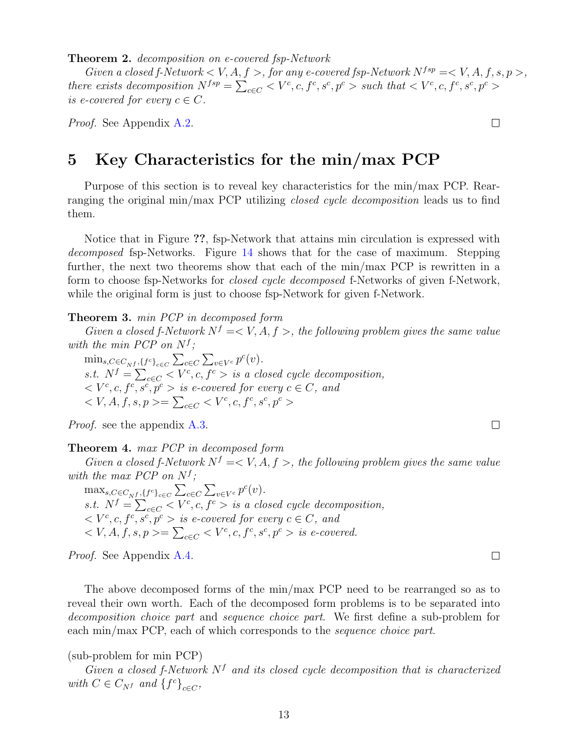**Theorem 2.** *decomposition on e-covered fsp-Network*

*Given a closed f-Network*  $\lt V$ ,  $A, f >$ , *for any e-covered fsp-Network*  $N^{fsp} = \lt V$ ,  $A, f, s, p >$ , there exists decomposition  $N^{fsp} = \sum_{c \in C} \langle V^c, c, f^c, s^c, p^c \rangle$  such that  $\langle V^c, c, f^c, s^c, p^c \rangle$ *is e-covered for every*  $c \in C$ *.* 

*Proof.* See Appendix [A.2.](#page-39-0)

## <span id="page-12-0"></span>**5 Key Characteristics for the min/max PCP**

Purpose of this section is to reveal key characteristics for the min/max PCP. Rearranging the original min/max PCP utilizing *closed cycle decomposition* leads us to find them.

Notice that in Figure **??**, fsp-Network that attains min circulation is expressed with *decomposed* fsp-Networks. Figure [14](#page-11-1) shows that for the case of maximum. Stepping further, the next two theorems show that each of the min/max PCP is rewritten in a form to choose fsp-Networks for *closed cycle decomposed* f-Networks of given f-Network, while the original form is just to choose fsp-Network for given f-Network.

<span id="page-12-1"></span>**Theorem 3.** *min PCP in decomposed form*

*Given a closed f-Network*  $N^f = \langle V, A, f \rangle$ , the following problem gives the same value *with the min PCP on*  $N^f$ ;

 $\min_{s, C \in C_{N} f, \{f^{c}\}_{c \in C}} \sum_{c \in C} \sum_{v \in V^{c}} p^{c}(v)$ . *s.t.*  $N^f = \sum_{c \in C} \langle V^c, c, f^c \rangle$  *is a closed cycle decomposition,*  $\langle V^c, c, f^c, s^c, p^c \rangle$  *is e-covered for every*  $c \in C$ *, and < V, A, f, s, p >*= ∑ *<sup>c</sup>∈<sup>C</sup> < V <sup>c</sup> , c, f<sup>c</sup> , s<sup>c</sup> , p<sup>c</sup> >*

*Proof.* see the appendix [A.3.](#page-40-0)

#### <span id="page-12-2"></span>**Theorem 4.** *max PCP in decomposed form*

*Given a closed f-Network*  $N^f = \langle V, A, f \rangle$ , the following problem gives the same value *with the max PCP on*  $N^f$ ;

 $\max_{s,C \in C_{N}f, \{f^c\}_{c \in C}} \sum_{c \in C} \sum_{v \in V^c} p^c(v)$ . *s.t.*  $N^f = \sum_{c \in C} \langle V^c, c, f^c \rangle$  *is a closed cycle decomposition,*  $\langle V^c, c, f^c, s^c, p^c \rangle$  *is e-covered for every*  $c \in C$ *, and*  $\langle V, A, f, s, p \rangle = \sum_{c \in C} \langle V^c, c, f^c, s^c, p^c \rangle$  *is e-covered.* 

*Proof.* See Appendix [A.4.](#page-40-1)

The above decomposed forms of the min/max PCP need to be rearranged so as to reveal their own worth. Each of the decomposed form problems is to be separated into *decomposition choice part* and *sequence choice part*. We first define a sub-problem for each min/max PCP, each of which corresponds to the *sequence choice part*.

### (sub-problem for min PCP)

*Given a closed f-Network N<sup>f</sup> and its closed cycle decomposition that is characterized with*  $C \in C_{Nf}$  *and*  $\{f^c\}_{c \in C}$ ,

 $\Box$ 

 $\Box$ 

 $\Box$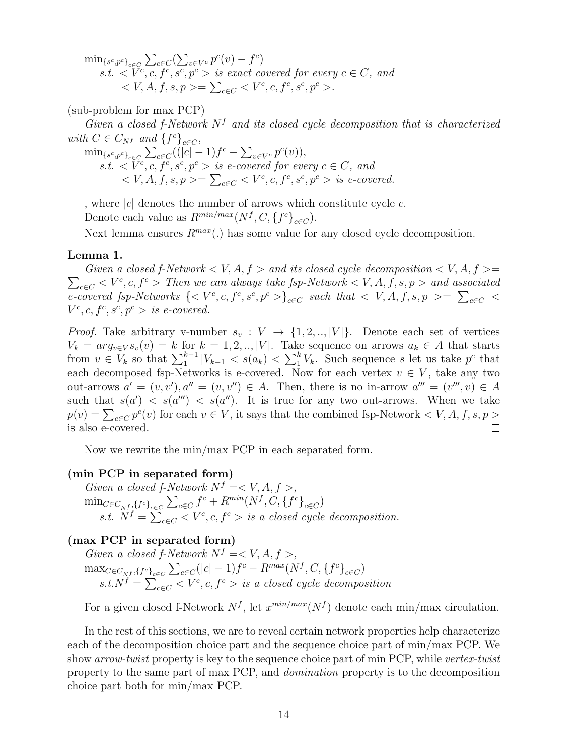$\min_{\{s^c, p^c\}_{c \in \mathcal{C}}} \sum_{c \in \mathcal{C}} (\sum_{v \in V^c} p^c(v) - f^c)$ *s.t.*  $\langle V^c, c, \overline{f^c}, s^c, p^c \rangle$  *is exact covered for every*  $c \in C$ *, and*  $\langle V, A, f, s, p \rangle = ∑_{c ∈ C} \langle V^c, c, f^c, s^c, p^c \rangle.$ 

(sub-problem for max PCP)

*Given a closed f-Network N<sup>f</sup> and its closed cycle decomposition that is characterized with*  $C \in C_{Nf}$  *and*  $\{f^c\}_{c \in C}$ ,

 $\min_{\{s^c, p^c\}_{c \in C}} \sum_{c \in C} ((|c| - 1)f^c - \sum_{v \in V^c} p^c(v)),$  $s.t. \langle V^c, c, \overline{f^c}, s^c, p^c \rangle$  *is e-covered for every*  $c \in C$ *, and*  $\langle V, A, f, s, p \rangle = \sum_{c \in C} \langle V^c, c, f^c, s^c, p^c \rangle$  *is e-covered.* 

, where *|c|* denotes the number of arrows which constitute cycle *c*.

Denote each value as  $R^{min/max}(N^f, C, \{f^c\}_{c \in C})$ .

Next lemma ensures  $R^{max}(.)$  has some value for any closed cycle decomposition.

#### **Lemma 1.**

 $\sum_{c \in C} \langle V^c, c, f^c \rangle$  *Then we can always take fsp-Network*  $\langle V, A, f, s, p \rangle$  *and associated Given a closed f-Network*  $\lt V$ ,  $A, f >$  *and its closed cycle decomposition*  $\lt V$ ,  $A, f >$  $e\text{-}covered \text{ } fsp\text{-}Networks \text{ } \{\}_{c\in C} \text{ such that } \langle V,A,f,s,p \rangle = \sum_{c\in C} \langle V,A,f,a\rangle$  $V^c, c, f^c, s^c, p^c > is$  *e-covered.* 

*Proof.* Take arbitrary v-number  $s_v : V \to \{1, 2, \ldots, |V|\}$ . Denote each set of vertices  $V_k = arg_{v \in V} s_v(v) = k$  for  $k = 1, 2, ..., |V|$ . Take sequence on arrows  $a_k \in A$  that starts from  $v \in V_k$  so that  $\sum_{1}^{k-1} |V_{k-1}| < s(a_k) < \sum_{1}^{k} V_k$ . Such sequence s let us take  $p^c$  that each decomposed fsp-Networks is e-covered. Now for each vertex  $v \in V$ , take any two out-arrows  $a' = (v, v'), a'' = (v, v'') \in A$ . Then, there is no in-arrow  $a''' = (v''', v) \in A$ such that  $s(a') < s(a'') < s(a'')$ . It is true for any two out-arrows. When we take  $p(v) = \sum_{c \in C} p^c(v)$  for each  $v \in V$ , it says that the combined fsp-Network  $\langle V, A, f, s, p \rangle$ is also e-covered.  $\Box$ 

Now we rewrite the min/max PCP in each separated form.

#### **(min PCP in separated form)**

*Given a closed f-Network*  $N^f = \langle V, A, f \rangle$  $\text{min}_{C \in C_{N^f}, \{f^c\}_{c \in C}} \sum\nolimits_{c \in C} f^c + R^{min}(N^f, C, \{f^c\}_{c \in C})$ *s.t.*  $\overline{N}^f = \sum_{c \in C}^{} < V^c, c, f^c >$  *is a closed cycle decomposition.* 

### **(max PCP in separated form)**

*Given a closed f-Network*  $N^f = \langle V, A, f \rangle$ ,  $\max_{C \in C_{N'} f, \{f^c\}_{c \in C}} \sum_{c \in C} (|c| - 1) f^c - R^{max}(N^f, C, \{f^c\}_{c \in C})$  $s.t. N^f = \sum_{c \in C} \langle V^c, c, f^c \rangle$  *is a closed cycle decomposition* 

For a given closed f-Network  $N^f$ , let  $x^{min/max}(N^f)$  denote each min/max circulation.

In the rest of this sections, we are to reveal certain network properties help characterize each of the decomposition choice part and the sequence choice part of min/max PCP. We show *arrow-twist* property is key to the sequence choice part of min PCP, while *vertex-twist* property to the same part of max PCP, and *domination* property is to the decomposition choice part both for min/max PCP.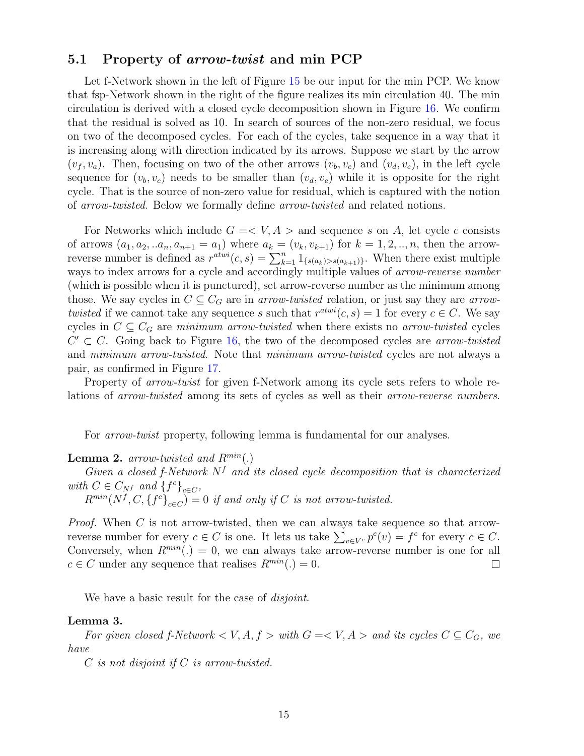### **5.1 Property of** *arrow-twist* **and min PCP**

Let f-Network shown in the left of Figure [15](#page-15-0) be our input for the min PCP. We know that fsp-Network shown in the right of the figure realizes its min circulation 40. The min circulation is derived with a closed cycle decomposition shown in Figure [16.](#page-15-1) We confirm that the residual is solved as 10. In search of sources of the non-zero residual, we focus on two of the decomposed cycles. For each of the cycles, take sequence in a way that it is increasing along with direction indicated by its arrows. Suppose we start by the arrow  $(v_f, v_a)$ . Then, focusing on two of the other arrows  $(v_b, v_c)$  and  $(v_d, v_e)$ , in the left cycle sequence for  $(v_b, v_c)$  needs to be smaller than  $(v_d, v_e)$  while it is opposite for the right cycle. That is the source of non-zero value for residual, which is captured with the notion of *arrow-twisted*. Below we formally define *arrow-twisted* and related notions.

For Networks which include  $G = \langle V, A \rangle$  and sequence *s* on *A*, let cycle *c* consists of arrows  $(a_1, a_2, ... a_n, a_{n+1} = a_1)$  where  $a_k = (v_k, v_{k+1})$  for  $k = 1, 2, ..., n$ , then the arrowreverse number is defined as  $r^{atwi}(c, s) = \sum_{k=1}^{n} 1_{\{s(a_k) > s(a_{k+1})\}}$ . When there exist multiple ways to index arrows for a cycle and accordingly multiple values of *arrow-reverse number* (which is possible when it is punctured), set arrow-reverse number as the minimum among those. We say cycles in  $C \subseteq C_G$  are in *arrow-twisted* relation, or just say they are *arrowtwisted* if we cannot take any sequence *s* such that  $r^{atwi}(c, s) = 1$  for every  $c \in C$ . We say cycles in  $C \subseteq C_G$  are *minimum arrow-twisted* when there exists no *arrow-twisted* cycles  $C' \subset C$ . Going back to Figure [16,](#page-15-1) the two of the decomposed cycles are *arrow-twisted* and *minimum arrow-twisted*. Note that *minimum arrow-twisted* cycles are not always a pair, as confirmed in Figure [17.](#page-15-2)

Property of *arrow-twist* for given f-Network among its cycle sets refers to whole relations of *arrow-twisted* among its sets of cycles as well as their *arrow-reverse numbers*.

For *arrow-twist* property, following lemma is fundamental for our analyses.

### <span id="page-14-0"></span>**Lemma 2.** *arrow-twisted and Rmin*(*.*)

*Given a closed f-Network N<sup>f</sup> and its closed cycle decomposition that is characterized with*  $C \in C_{N}$ *f* and  $\{f^{c}\}_{c \in C}$ ,

 $R^{min}(N^f, C, \{f^c\}_{c \in C}) = 0$  *if and only if C is not arrow-twisted.* 

*Proof.* When *C* is not arrow-twisted, then we can always take sequence so that arrowreverse number for every  $c \in C$  is one. It lets us take  $\sum_{v \in V^c} p^c(v) = f^c$  for every  $c \in C$ . Conversely, when  $R^{min}(.) = 0$ , we can always take arrow-reverse number is one for all  $c \in C$  under any sequence that realises  $R^{min}(.) = 0$ .  $\Box$ 

We have a basic result for the case of *disjoint*.

#### <span id="page-14-1"></span>**Lemma 3.**

*For given closed f-Network*  $\lt V, A, f >$  *with*  $G = \lt V, A >$  *and its cycles*  $C \subseteq C_G$ *, we have*

*C is not disjoint if C is arrow-twisted.*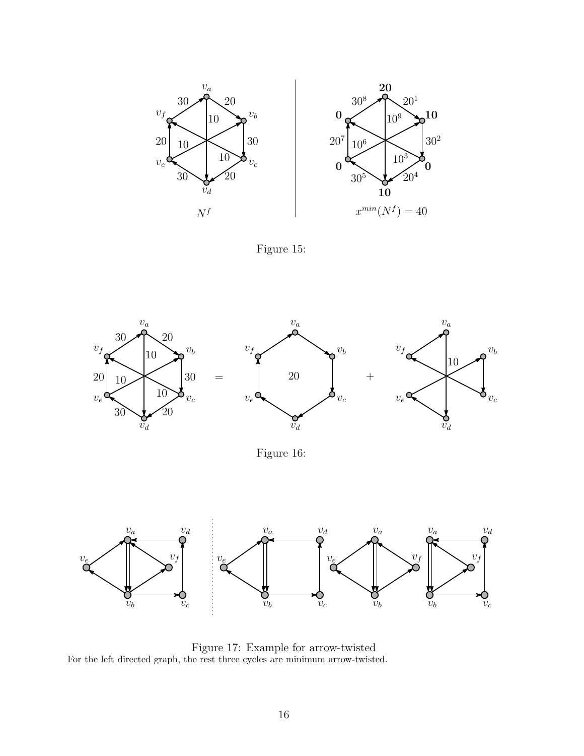

Figure 15:

<span id="page-15-0"></span>

Figure 16:

<span id="page-15-1"></span>

<span id="page-15-2"></span>Figure 17: Example for arrow-twisted For the left directed graph, the rest three cycles are minimum arrow-twisted.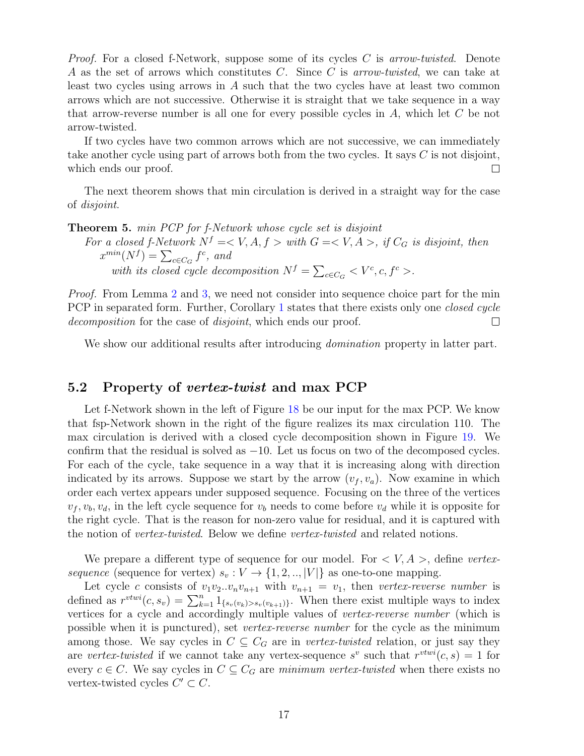*Proof.* For a closed f-Network, suppose some of its cycles *C* is *arrow-twisted*. Denote *A* as the set of arrows which constitutes *C*. Since *C* is *arrow-twisted*, we can take at least two cycles using arrows in *A* such that the two cycles have at least two common arrows which are not successive. Otherwise it is straight that we take sequence in a way that arrow-reverse number is all one for every possible cycles in *A*, which let *C* be not arrow-twisted.

If two cycles have two common arrows which are not successive, we can immediately take another cycle using part of arrows both from the two cycles. It says *C* is not disjoint, which ends our proof.  $\Box$ 

The next theorem shows that min circulation is derived in a straight way for the case of *disjoint*.

**Theorem 5.** *min PCP for f-Network whose cycle set is disjoint*

*For a closed f-Network*  $N^f = \langle V, A, f \rangle$  *with*  $G = \langle V, A \rangle$ , *if*  $C_G$  *is disjoint, then*  $x^{min}(N^f) = \sum_{c \in C_G} f^c$ , and *with its closed cycle decomposition*  $N^f = \sum_{c \in C_G} \langle V^c, c, f^c \rangle$ .

*Proof.* From Lemma [2](#page-14-0) and [3,](#page-14-1) we need not consider into sequence choice part for the min PCP in separated form. Further, Corollary [1](#page-11-2) states that there exists only one *closed cycle decomposition* for the case of *disjoint*, which ends our proof.  $\Box$ 

We show our additional results after introducing *domination* property in latter part.

### **5.2 Property of** *vertex-twist* **and max PCP**

Let f-Network shown in the left of Figure [18](#page-18-0) be our input for the max PCP. We know that fsp-Network shown in the right of the figure realizes its max circulation 110. The max circulation is derived with a closed cycle decomposition shown in Figure [19.](#page-18-1) We confirm that the residual is solved as *−*10. Let us focus on two of the decomposed cycles. For each of the cycle, take sequence in a way that it is increasing along with direction indicated by its arrows. Suppose we start by the arrow  $(v_f, v_a)$ . Now examine in which order each vertex appears under supposed sequence. Focusing on the three of the vertices  $v_f, v_b, v_d$ , in the left cycle sequence for  $v_b$  needs to come before  $v_d$  while it is opposite for the right cycle. That is the reason for non-zero value for residual, and it is captured with the notion of *vertex-twisted*. Below we define *vertex-twisted* and related notions.

We prepare a different type of sequence for our model. For *< V, A >*, define *vertexsequence* (sequence for vertex)  $s_v : V \to \{1, 2, \ldots, |V|\}$  as one-to-one mapping.

Let cycle *c* consists of  $v_1v_2...v_nv_{n+1}$  with  $v_{n+1} = v_1$ , then *vertex-reverse number* is defined as  $r^{vtwi}(c, s_v) = \sum_{k=1}^n 1_{\{s_v(v_k) > s_v(v_{k+1})\}}$ . When there exist multiple ways to index vertices for a cycle and accordingly multiple values of *vertex-reverse number* (which is possible when it is punctured), set *vertex-reverse number* for the cycle as the minimum among those. We say cycles in  $C \subseteq C_G$  are in *vertex-twisted* relation, or just say they are *vertex-twisted* if we cannot take any vertex-sequence  $s^v$  such that  $r^{vtwi}(c, s) = 1$  for every  $c \in C$ . We say cycles in  $C \subseteq C_G$  are *minimum vertex-twisted* when there exists no vertex-twisted cycles  $C' \subset C$ .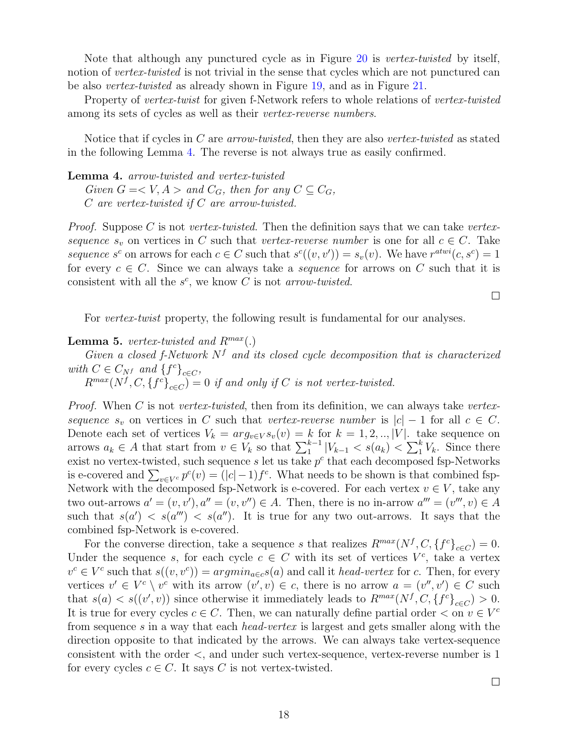Note that although any punctured cycle as in Figure [20](#page-18-2) is *vertex-twisted* by itself, notion of *vertex-twisted* is not trivial in the sense that cycles which are not punctured can be also *vertex-twisted* as already shown in Figure [19,](#page-18-1) and as in Figure [21.](#page-19-0)

Property of *vertex-twist* for given f-Network refers to whole relations of *vertex-twisted* among its sets of cycles as well as their *vertex-reverse numbers*.

Notice that if cycles in *C* are *arrow-twisted*, then they are also *vertex-twisted* as stated in the following Lemma [4.](#page-17-0) The reverse is not always true as easily confirmed.

<span id="page-17-0"></span>**Lemma 4.** *arrow-twisted and vertex-twisted*

*Given*  $G = \langle V, A \rangle$  *and*  $C_G$ *, then for any*  $C \subseteq C_G$ *, C are vertex-twisted if C are arrow-twisted.*

*Proof.* Suppose *C* is not *vertex-twisted*. Then the definition says that we can take *vertexsequence*  $s_v$  on vertices in *C* such that *vertex-reverse number* is one for all  $c \in C$ . Take *sequence s*<sup>*c*</sup> on arrows for each  $c \in C$  such that  $s^c((v, v')) = s_v(v)$ . We have  $r^{atwi}(c, s^c) = 1$ for every  $c \in C$ . Since we can always take a *sequence* for arrows on C such that it is consistent with all the  $s^c$ , we know *C* is not *arrow-twisted*.

For *vertex-twist* property, the following result is fundamental for our analyses.

<span id="page-17-1"></span>**Lemma 5.** *vertex-twisted and*  $R^{max}(.)$ 

*Given a closed f-Network N<sup>f</sup> and its closed cycle decomposition that is characterized with*  $C \in C_{N}$ *f* and  $\{f^{c}\}_{c \in C}$ ,

 $R^{max}(N^f, C, \{f^c\}_{c \in C}) = 0$  *if and only if C is not vertex-twisted.* 

*Proof.* When *C* is not *vertex-twisted*, then from its definition, we can always take *vertexsequence*  $s_v$  on vertices in *C* such that *vertex-reverse number* is  $|c| - 1$  for all  $c \in C$ . Denote each set of vertices  $V_k = arg_{v \in V} s_v(v) = k$  for  $k = 1, 2, \ldots, |V|$ . take sequence on arrows  $a_k \in A$  that start from  $v \in V_k$  so that  $\sum_{1}^{k-1} |V_{k-1}| < s(a_k) < \sum_{1}^{k} V_k$ . Since there exist no vertex-twisted, such sequence  $s$  let us take  $p^c$  that each decomposed fsp-Networks is e-covered and  $\sum_{v \in V^c} p^c(v) = (|c| - 1)f^c$ . What needs to be shown is that combined fsp-Network with the decomposed fsp-Network is e-covered. For each vertex  $v \in V$ , take any two out-arrows  $a' = (v, v'), a'' = (v, v'') \in A$ . Then, there is no in-arrow  $a''' = (v''', v) \in A$ such that  $s(a') < s(a'') < s(a'')$ . It is true for any two out-arrows. It says that the combined fsp-Network is e-covered.

For the converse direction, take a sequence *s* that realizes  $R^{max}(N^f, C, \{f^c\}_{c \in C}) = 0$ . Under the sequence *s*, for each cycle  $c \in C$  with its set of vertices  $V^c$ , take a vertex  $v^c \in V^c$  such that  $s((v, v^c)) = argmin_{a \in c} s(a)$  and call it *head-vertex* for *c*. Then, for every vertices  $v' \in V^c \setminus v^c$  with its arrow  $(v', v) \in c$ , there is no arrow  $a = (v'', v') \in C$  such that  $s(a) < s((v', v))$  since otherwise it immediately leads to  $R^{max}(N^f, C, \{f^c\}_{c \in C}) > 0$ . It is true for every cycles  $c \in C$ . Then, we can naturally define partial order  $\lt$  on  $v \in V^c$ from sequence *s* in a way that each *head-vertex* is largest and gets smaller along with the direction opposite to that indicated by the arrows. We can always take vertex-sequence consistent with the order *<*, and under such vertex-sequence, vertex-reverse number is 1 for every cycles  $c \in C$ . It says C is not vertex-twisted.

 $\Box$ 

 $\Box$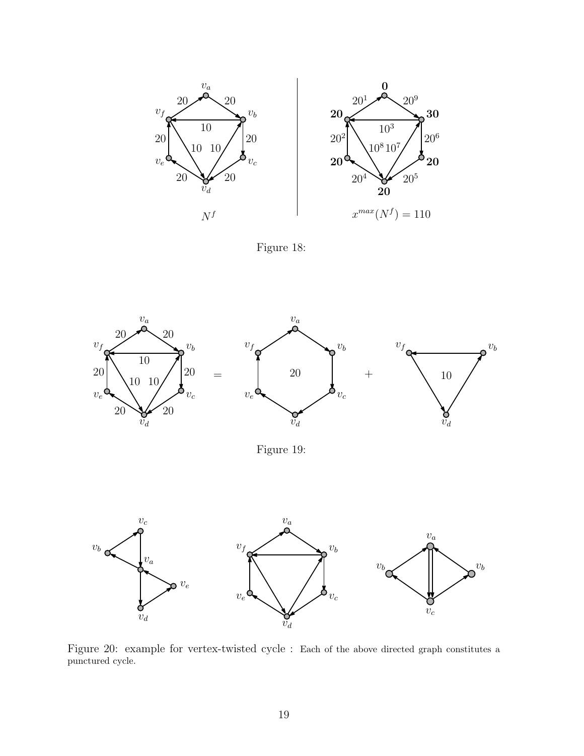

Figure 18:

<span id="page-18-0"></span>

Figure 19:

<span id="page-18-1"></span>

<span id="page-18-2"></span>Figure 20: example for vertex-twisted cycle : Each of the above directed graph constitutes a punctured cycle.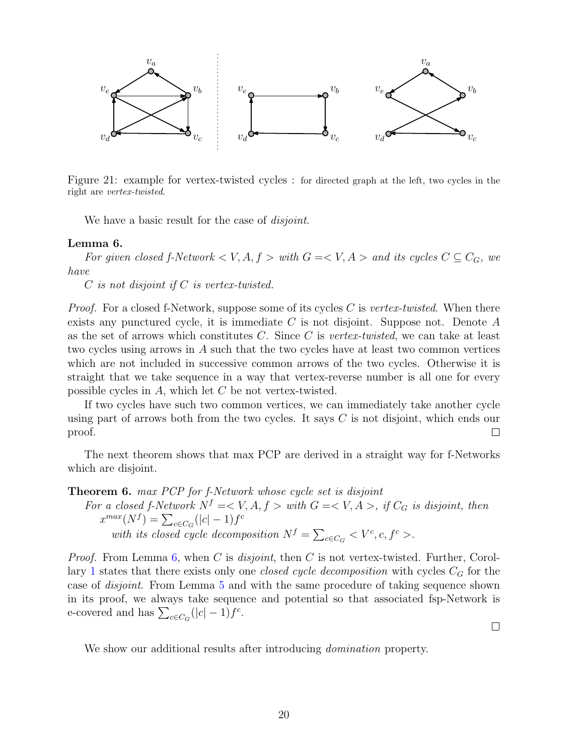

<span id="page-19-0"></span>Figure 21: example for vertex-twisted cycles : for directed graph at the left, two cycles in the right are *vertex-twisted*.

We have a basic result for the case of *disjoint*.

#### <span id="page-19-1"></span>**Lemma 6.**

*For given closed f-Network*  $\lt V, A, f >$  *with*  $G = \lt V, A >$  *and its cycles*  $C \subseteq C_G$ *, we have*

*C is not disjoint if C is vertex-twisted.*

*Proof.* For a closed f-Network, suppose some of its cycles *C* is *vertex-twisted*. When there exists any punctured cycle, it is immediate *C* is not disjoint. Suppose not. Denote *A* as the set of arrows which constitutes *C*. Since *C* is *vertex-twisted*, we can take at least two cycles using arrows in *A* such that the two cycles have at least two common vertices which are not included in successive common arrows of the two cycles. Otherwise it is straight that we take sequence in a way that vertex-reverse number is all one for every possible cycles in *A*, which let *C* be not vertex-twisted.

If two cycles have such two common vertices, we can immediately take another cycle using part of arrows both from the two cycles. It says *C* is not disjoint, which ends our proof.  $\Box$ 

The next theorem shows that max PCP are derived in a straight way for f-Networks which are disjoint.

**Theorem 6.** *max PCP for f-Network whose cycle set is disjoint*

*For a closed f-Network*  $N^f = \langle V, A, f \rangle$  *with*  $G = \langle V, A \rangle$ , *if*  $C_G$  *is disjoint, then*  $x^{max}(N^f) = \sum_{c \in C_G} (|c| - 1) f^c$ *with its closed cycle decomposition*  $N^f = \sum_{c \in C_G} \langle V^c, c, f^c \rangle$ .

*Proof.* From Lemma [6,](#page-19-1) when *C* is *disjoint*, then *C* is not vertex-twisted. Further, Corollary [1](#page-11-2) states that there exists only one *closed cycle decomposition* with cycles *C<sup>G</sup>* for the case of *disjoint*. From Lemma [5](#page-17-1) and with the same procedure of taking sequence shown in its proof, we always take sequence and potential so that associated fsp-Network is e-covered and has  $\sum_{c \in C_G} (|c| - 1) f^c$ .

 $\Box$ 

We show our additional results after introducing *domination* property.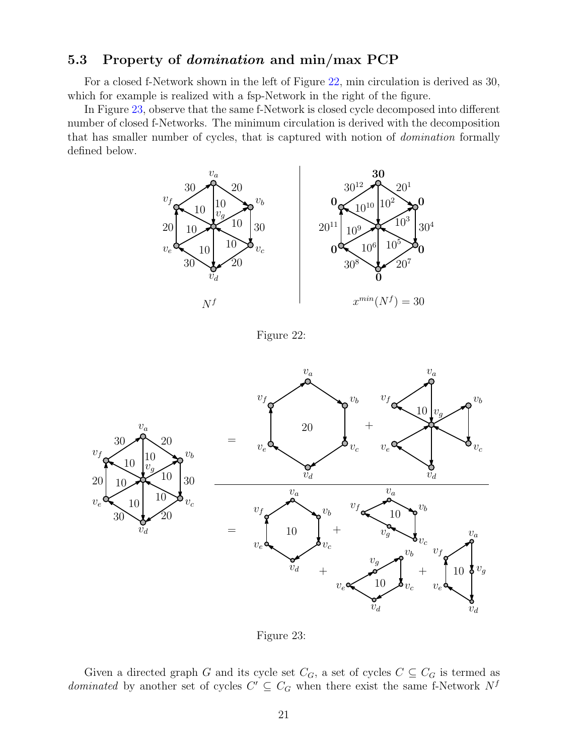### **5.3 Property of** *domination* **and min/max PCP**

For a closed f-Network shown in the left of Figure [22,](#page-20-0) min circulation is derived as 30, which for example is realized with a fsp-Network in the right of the figure.

In Figure [23,](#page-20-1) observe that the same f-Network is closed cycle decomposed into different number of closed f-Networks. The minimum circulation is derived with the decomposition that has smaller number of cycles, that is captured with notion of *domination* formally defined below.



Figure 22:

<span id="page-20-0"></span>



<span id="page-20-1"></span>Given a directed graph *G* and its cycle set  $C_G$ , a set of cycles  $C \subseteq C_G$  is termed as *dominated* by another set of cycles  $C' \subseteq C_G$  when there exist the same f-Network  $N^f$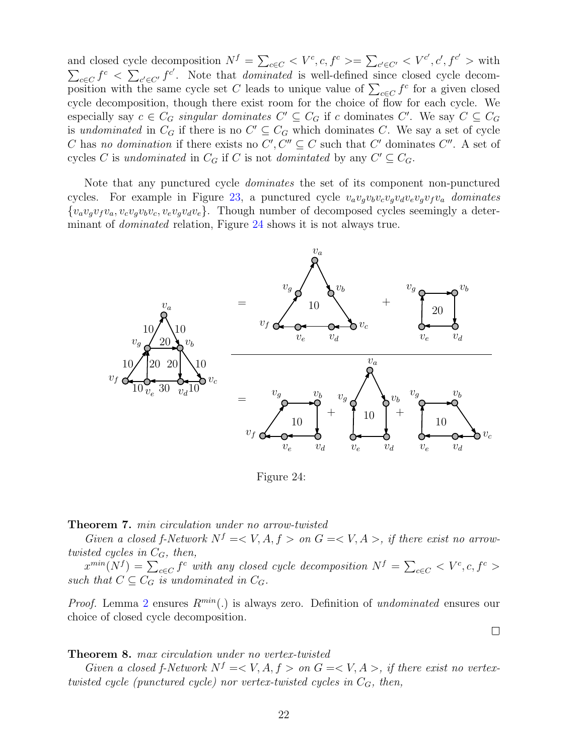and closed cycle decomposition  $N^f = \sum_{c \in C} \langle V^c, c, f^c \rangle = \sum_{c' \in C'} \langle V^{c'}, c', f^{c'} \rangle$  with  $\sum_{c \in C} f^c \leq \sum_{c' \in C'} f^{c'}$ . Note that *dominated* is well-defined since closed cycle decomposition with the same cycle set *C* leads to unique value of  $\sum_{c \in C} f^c$  for a given closed cycle decomposition, though there exist room for the choice of flow for each cycle. We especially say  $c \in C_G$  *singular dominates*  $C' \subseteq C_G$  if  $c$  dominates  $C'$ . We say  $C \subseteq C_G$ is *undominated* in  $C_G$  if there is no  $C' \subseteq C_G$  which dominates *C*. We say a set of cycle *C* has *no domination* if there exists no  $C', C'' \subseteq C$  such that  $C'$  dominates  $C''$ . A set of cycles *C* is *undominated* in  $C_G$  if *C* is not *domintated* by any  $C' \subseteq C_G$ .

Note that any punctured cycle *dominates* the set of its component non-punctured cycles. For example in Figure [23,](#page-20-1) a punctured cycle  $v_a v_q v_b v_c v_q v_d v_e v_q v_f v_a$  dominates  ${v_a v_q v_f v_a, v_c v_q v_b v_c, v_e v_q v_d v_e}.$  Though number of decomposed cycles seemingly a determinant of *dominated* relation, Figure [24](#page-21-0) shows it is not always true.



Figure 24:

#### <span id="page-21-0"></span>**Theorem 7.** *min circulation under no arrow-twisted*

*Given a closed f-Network*  $N^f = \langle V, A, f \rangle$  on  $G = \langle V, A \rangle$ , if there exist no arrow*twisted cycles in*  $C_G$ *, then,* 

 $x^{min}(N^f) = \sum_{c \in C} f^c$  with any closed cycle decomposition  $N^f = \sum_{c \in C} \langle V^c, c, f^c \rangle$ *such that*  $C \subseteq C_G$  *is undominated in*  $C_G$ *.* 

*Proof.* Lemma [2](#page-14-0) ensures *Rmin*(*.*) is always zero. Definition of *undominated* ensures our choice of closed cycle decomposition.

#### **Theorem 8.** *max circulation under no vertex-twisted*

*Given a closed f-Network*  $N^f = \langle V, A, f \rangle$  on  $G = \langle V, A \rangle$ , if there exist no vertex*twisted cycle (punctured cycle) nor vertex-twisted cycles in CG, then,*

 $\Box$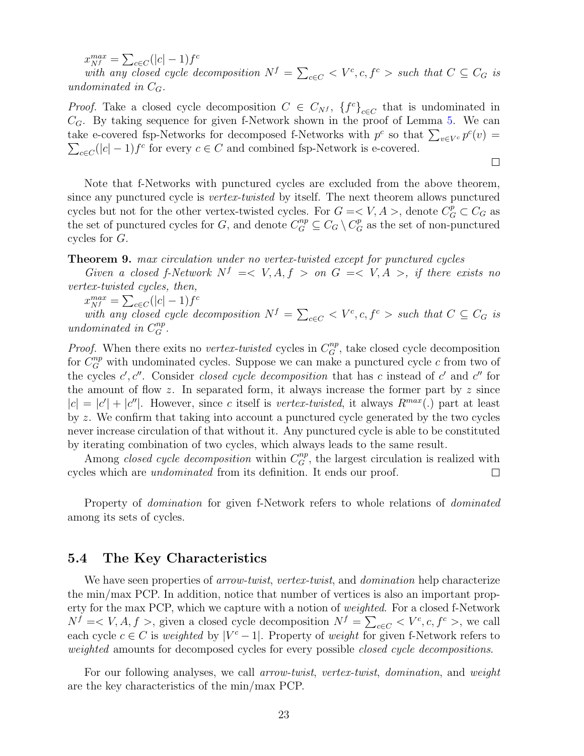$x_{Nf}^{max} = \sum_{c \in C} (|c| - 1) f^c$ 

*with any closed cycle decomposition*  $N^f = \sum_{c \in C} \langle V^c, c, f^c \rangle$  *such that*  $C \subseteq C_G$  *is undominated in CG.*

*Proof.* Take a closed cycle decomposition  $C \in C_{N}$ ,  ${f<sup>c</sup>}_{c \in C}$  that is undominated in *CG*. By taking sequence for given f-Network shown in the proof of Lemma [5.](#page-17-1) We can take e-covered fsp-Networks for decomposed f-Networks with  $p^c$  so that  $\sum_{v \in V^c} p^c(v)$  =  $\sum_{c \in C} (|c| - 1) f^c$  for every  $c \in C$  and combined fsp-Network is e-covered.

 $\Box$ 

Note that f-Networks with punctured cycles are excluded from the above theorem, since any punctured cycle is *vertex-twisted* by itself. The next theorem allows punctured cycles but not for the other vertex-twisted cycles. For  $G = \langle V, A \rangle$ , denote  $C_G^p \subset C_G$  as the set of punctured cycles for *G*, and denote  $C_G^{np} \subseteq C_G \setminus C_G^p$  as the set of non-punctured cycles for *G*.

### <span id="page-22-0"></span>**Theorem 9.** *max circulation under no vertex-twisted except for punctured cycles*

*Given a closed f-Network*  $N^f \leq V$ ,  $A, f > on$   $G \leq V$ ,  $A >$ , *if there exists no vertex-twisted cycles, then,*

 $x_{Nf}^{max} = \sum_{c \in C} (|c| - 1) f^c$ 

*with any closed cycle decomposition*  $N^f = \sum_{c \in C} \langle V^c, c, f^c \rangle$  such that  $C \subseteq C_G$  is *undominated in*  $C_G^{np}$ *.* 

*Proof.* When there exits no *vertex-twisted* cycles in  $C_G^{np}$ , take closed cycle decomposition for  $C_G^{np}$  with undominated cycles. Suppose we can make a punctured cycle  $c$  from two of the cycles  $c'$ ,  $c''$ . Consider *closed cycle decomposition* that has *c* instead of  $c'$  and  $c''$  for the amount of flow *z*. In separated form, it always increase the former part by *z* since  $|c| = |c'| + |c''|$ . However, since *c* itself is *vertex-twisted*, it always  $R^{max}(.)$  part at least by *z*. We confirm that taking into account a punctured cycle generated by the two cycles never increase circulation of that without it. Any punctured cycle is able to be constituted by iterating combination of two cycles, which always leads to the same result.

Among *closed cycle decomposition* within  $C_G^{np}$ , the largest circulation is realized with cycles which are *undominated* from its definition. It ends our proof.  $\Box$ 

Property of *domination* for given f-Network refers to whole relations of *dominated* among its sets of cycles.

### **5.4 The Key Characteristics**

We have seen properties of *arrow-twist*, *vertex-twist*, and *domination* help characterize the min/max PCP. In addition, notice that number of vertices is also an important property for the max PCP, which we capture with a notion of *weighted*. For a closed f-Network  $N^f = \langle V, A, f \rangle$ , given a closed cycle decomposition  $N^f = \sum_{c \in C} \langle V^c, c, f^c \rangle$ , we call each cycle  $c \in C$  is *weighted* by  $|V^c - 1|$ . Property of *weight* for given f-Network refers to *weighted* amounts for decomposed cycles for every possible *closed cycle decompositions*.

For our following analyses, we call *arrow-twist*, *vertex-twist*, *domination*, and *weight* are the key characteristics of the min/max PCP.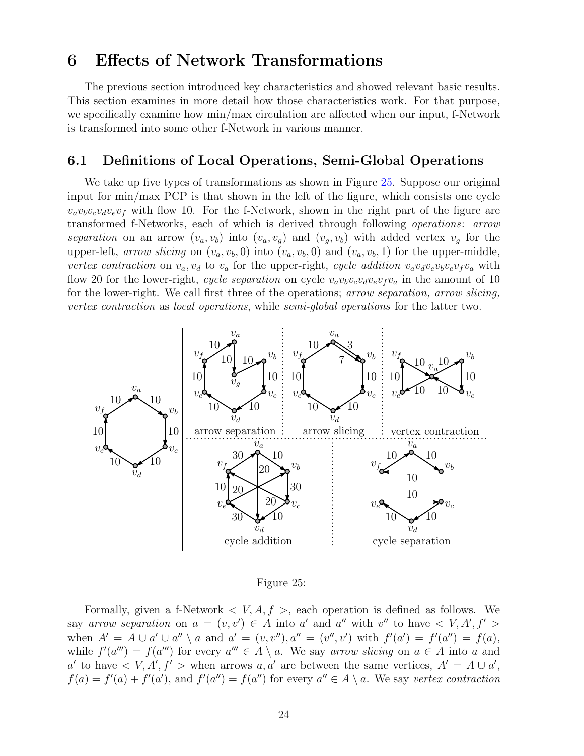## <span id="page-23-0"></span>**6 Effects of Network Transformations**

The previous section introduced key characteristics and showed relevant basic results. This section examines in more detail how those characteristics work. For that purpose, we specifically examine how min/max circulation are affected when our input, f-Network is transformed into some other f-Network in various manner.

### **6.1 Definitions of Local Operations, Semi-Global Operations**

We take up five types of transformations as shown in Figure [25.](#page-23-1) Suppose our original input for min/max PCP is that shown in the left of the figure, which consists one cycle  $v_a v_b v_c v_d v_e v_f$  with flow 10. For the f-Network, shown in the right part of the figure are transformed f-Networks, each of which is derived through following *operations*: *arrow* separation on an arrow  $(v_a, v_b)$  into  $(v_a, v_g)$  and  $(v_g, v_b)$  with added vertex  $v_g$  for the upper-left, *arrow slicing* on  $(v_a, v_b, 0)$  into  $(v_a, v_b, 0)$  and  $(v_a, v_b, 1)$  for the upper-middle, vertex contraction on  $v_a, v_d$  to  $v_a$  for the upper-right, cycle addition  $v_a v_d v_e v_b v_c v_f v_a$  with flow 20 for the lower-right, *cycle separation* on cycle  $v_a v_b v_c v_d v_e v_f v_a$  in the amount of 10 for the lower-right. We call first three of the operations; *arrow separation, arrow slicing, vertex contraction* as *local operations*, while *semi-global operations* for the latter two.



Figure 25:

<span id="page-23-1"></span>Formally, given a f-Network  $\langle V, A, f \rangle$ , each operation is defined as follows. We say *arrow separation* on  $a = (v, v') \in A$  into *a'* and *a''* with  $v''$  to have  $\langle V, A', f' \rangle$ when  $A' = A \cup a' \cup a'' \setminus a$  and  $a' = (v, v'')$ ,  $a'' = (v'', v')$  with  $f'(a') = f'(a'') = f(a)$ , while  $f'(a''') = f(a''')$  for every  $a''' \in A \setminus a$ . We say *arrow slicing* on  $a \in A$  into a and *a'* to have  $\langle V, A', f' \rangle$  when arrows *a, a'* are between the same vertices,  $A' = A \cup a'$ ,  $f(a) = f'(a) + f'(a')$ , and  $f'(a'') = f(a'')$  for every  $a'' \in A \setminus a$ . We say vertex contraction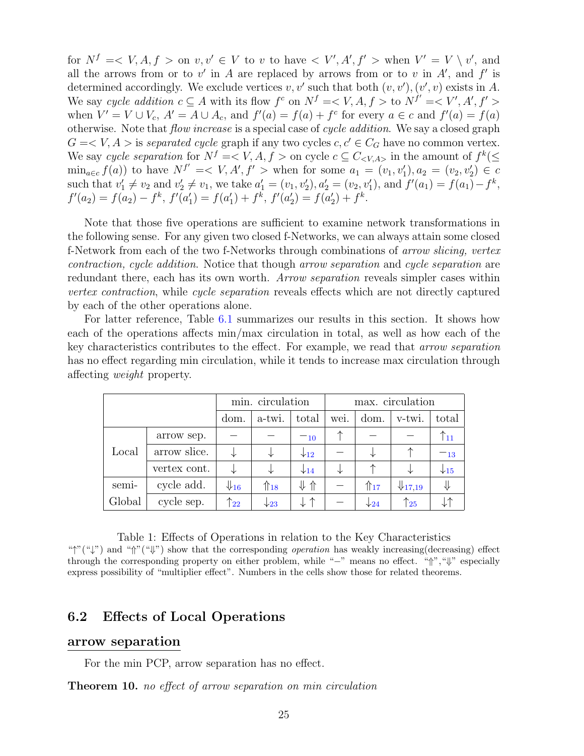for  $N^f = \langle V, A, f \rangle$  on  $v, v' \in V$  to v to have  $\langle V', A', f' \rangle$  when  $V' = V \setminus v'$ , and all the arrows from or to  $v'$  in *A* are replaced by arrows from or to  $v$  in  $A'$ , and  $f'$  is determined accordingly. We exclude vertices  $v, v'$  such that both  $(v, v'), (v', v)$  exists in A. We say *cycle addition*  $c \subseteq A$  with its flow  $f^c$  on  $N^f = \langle V, A, f \rangle$  to  $N^{f'} = \langle V', A', f' \rangle$ when  $V' = V \cup V_c$ ,  $A' = A \cup A_c$ , and  $f'(a) = f(a) + f^c$  for every  $a \in c$  and  $f'(a) = f(a)$ otherwise. Note that *flow increase* is a special case of *cycle addition*. We say a closed graph  $G = \langle V, A \rangle$  is *separated cycle* graph if any two cycles  $c, c' \in C_G$  have no common vertex. We say *cycle separation* for  $N^f = \langle V, A, f \rangle$  on cycle  $c \subseteq C_{\langle V, A \rangle}$  in the amount of  $f^k(\leq$  $\min_{a \in c} f(a)$  to have  $N^{f'} = \langle V, A', f' \rangle$  when for some  $a_1 = (v_1, v_1'), a_2 = (v_2, v_2') \in c$ such that  $v'_1 \neq v_2$  and  $v'_2 \neq v_1$ , we take  $a'_1 = (v_1, v'_2), a'_2 = (v_2, v'_1)$ , and  $f'(a_1) = f(a_1) - f^k$ ,  $f'(a_2) = f(a_2) - f^k$ ,  $f'(a'_1) = f(a'_1) + f^k$ ,  $f'(a'_2) = f(a'_2) + f^k$ .

Note that those five operations are sufficient to examine network transformations in the following sense. For any given two closed f-Networks, we can always attain some closed f-Network from each of the two f-Networks through combinations of *arrow slicing, vertex contraction, cycle addition*. Notice that though *arrow separation* and *cycle separation* are redundant there, each has its own worth. *Arrow separation* reveals simpler cases within *vertex contraction*, while *cycle separation* reveals effects which are not directly captured by each of the other operations alone.

For latter reference, Table [6.1](#page-23-1) summarizes our results in this section. It shows how each of the operations affects min/max circulation in total, as well as how each of the key characteristics contributes to the effect. For example, we read that *arrow separation* has no effect regarding min circulation, while it tends to increase max circulation through affecting *weight* property.

|        |              | min. circulation           |                    |                         | max. circulation |                   |                          |                          |
|--------|--------------|----------------------------|--------------------|-------------------------|------------------|-------------------|--------------------------|--------------------------|
|        |              | dom.                       | a-twi.             | total                   | wei.             | dom.              | v-twi.                   | total                    |
| Local  | arrow sep.   |                            |                    | $-10$                   | ᄾ                |                   |                          | $\uparrow$ <sub>11</sub> |
|        | arrow slice. |                            |                    | $\downarrow$ 12         |                  | ↓                 | ᠰ                        | $-13$                    |
|        | vertex cont. | ⇃                          |                    | $\downarrow$ 14         | ⇃                | ᠰ                 | ⇃                        | $\downarrow$ 15          |
| semi-  | cycle add.   | $\Downarrow$ <sub>16</sub> | $\mathcal{L}_{18}$ | $\downarrow \Uparrow$   |                  | $\mathbb{T}_{17}$ | $\downarrow$ 17,19       | ⇓                        |
| Global | cycle sep.   | $\uparrow_{22}$            | $\downarrow$ 23    | $\downarrow$ $\uparrow$ |                  | $\downarrow$ 24   | $\uparrow$ <sub>25</sub> |                          |

Table 1: Effects of Operations in relation to the Key Characteristics "*↑*"("*↓*") and "*⇑*"("*⇓*") show that the corresponding *operation* has weakly increasing(decreasing) effect through the corresponding property on either problem, while "*−*" means no effect. "*⇑*","*⇓*" especially express possibility of "multiplier effect". Numbers in the cells show those for related theorems.

### **6.2 Effects of Local Operations**

#### **arrow separation**

For the min PCP, arrow separation has no effect.

<span id="page-24-0"></span>**Theorem 10.** *no effect of arrow separation on min circulation*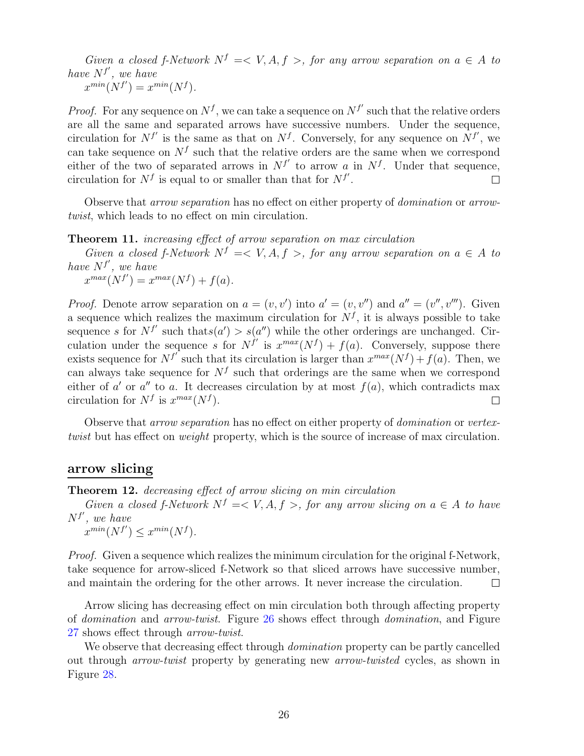*Given a closed f-Network*  $N^f = \langle V, A, f \rangle$ , for any arrow separation on  $a \in A$  to *have N<sup>f</sup> ′ , we have*  $x^{min}(N^{f'}) = x^{min}(N^{f}).$ 

*Proof.* For any sequence on  $N<sup>f</sup>$ , we can take a sequence on  $N<sup>f</sup>$  such that the relative orders are all the same and separated arrows have successive numbers. Under the sequence, circulation for  $N^{f'}$  is the same as that on  $N^f$ . Conversely, for any sequence on  $N^{f'}$ , we can take sequence on  $N<sup>f</sup>$  such that the relative orders are the same when we correspond either of the two of separated arrows in  $N^{f'}$  to arrow *a* in  $N^f$ . Under that sequence, circulation for  $N^f$  is equal to or smaller than that for  $N^{f'}$ .  $\Box$ 

Observe that *arrow separation* has no effect on either property of *domination* or *arrowtwist*, which leads to no effect on min circulation.

<span id="page-25-0"></span>**Theorem 11.** *increasing effect of arrow separation on max circulation*

*Given a closed f-Network*  $N^f = \langle V, A, f \rangle$ , for any arrow separation on  $a \in A$  to *have N<sup>f</sup> ′ , we have*

 $x^{max}(N^{f'}) = x^{max}(N^{f}) + f(a)$ .

*Proof.* Denote arrow separation on  $a = (v, v')$  into  $a' = (v, v'')$  and  $a'' = (v'', v''')$ . Given a sequence which realizes the maximum circulation for  $N<sup>f</sup>$ , it is always possible to take sequence *s* for  $N^{f'}$  such that  $s(a') > s(a'')$  while the other orderings are unchanged. Circulation under the sequence *s* for  $N^{f'}$  is  $x^{max}(N^{f}) + f(a)$ . Conversely, suppose there exists sequence for  $N^{f'}$  such that its circulation is larger than  $x^{max}(N^{f}) + f(a)$ . Then, we can always take sequence for  $N<sup>f</sup>$  such that orderings are the same when we correspond either of  $a'$  or  $a''$  to  $a$ . It decreases circulation by at most  $f(a)$ , which contradicts max circulation for  $N^f$  is  $x^{max}(N^f)$ .  $\Box$ 

Observe that *arrow separation* has no effect on either property of *domination* or *vertextwist* but has effect on *weight* property, which is the source of increase of max circulation.

### **arrow slicing**

<span id="page-25-1"></span>**Theorem 12.** *decreasing effect of arrow slicing on min circulation*

*Given a closed f-Network*  $N^f \leq V$ ,  $A, f >$ , *for any arrow slicing on*  $a \in A$  *to have N<sup>f</sup> ′ , we have*

 $x^{min}(N^{f'}) \leq x^{min}(N^{f}).$ 

*Proof.* Given a sequence which realizes the minimum circulation for the original f-Network, take sequence for arrow-sliced f-Network so that sliced arrows have successive number, and maintain the ordering for the other arrows. It never increase the circulation.  $\Box$ 

Arrow slicing has decreasing effect on min circulation both through affecting property of *domination* and *arrow-twist*. Figure [26](#page-26-0) shows effect through *domination*, and Figure [27](#page-26-1) shows effect through *arrow-twist*.

<span id="page-25-2"></span>We observe that decreasing effect through *domination* property can be partly cancelled out through *arrow-twist* property by generating new *arrow-twisted* cycles, as shown in Figure [28.](#page-26-2)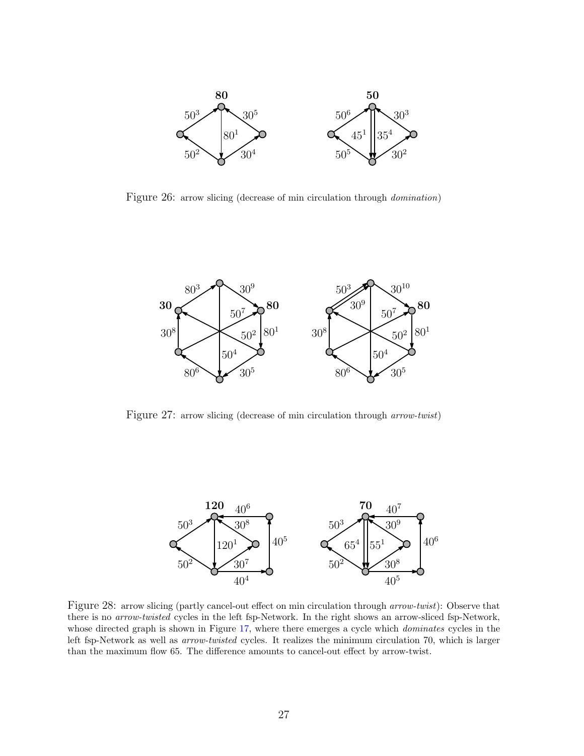

<span id="page-26-0"></span>Figure 26: arrow slicing (decrease of min circulation through *domination*)



<span id="page-26-1"></span>Figure 27: arrow slicing (decrease of min circulation through *arrow-twist*)



<span id="page-26-2"></span>Figure 28: arrow slicing (partly cancel-out effect on min circulation through *arrow-twist*): Observe that there is no *arrow-twisted* cycles in the left fsp-Network. In the right shows an arrow-sliced fsp-Network, whose directed graph is shown in Figure [17,](#page-15-2) where there emerges a cycle which *dominates* cycles in the left fsp-Network as well as *arrow-twisted* cycles. It realizes the minimum circulation 70, which is larger than the maximum flow 65. The difference amounts to cancel-out effect by arrow-twist.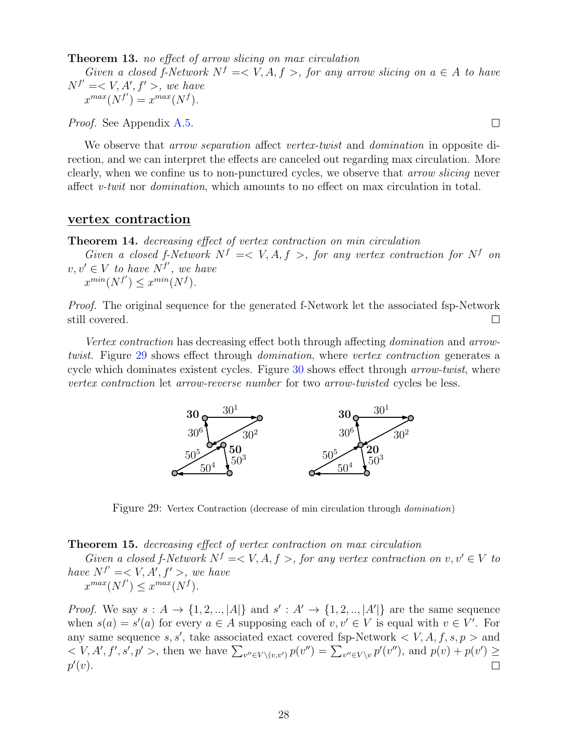**Theorem 13.** *no effect of arrow slicing on max circulation*

*Given a closed f-Network*  $N^f \leq V$ ,  $A, f >$ , *for any arrow slicing on*  $a \in A$  *to have*  $N^{f'} = \langle V, A', f' \rangle$ , we have  $x^{max}(N^{f'}) = x^{max}(N^{f}).$ 

*Proof.* See Appendix [A.5.](#page-40-2)

We observe that *arrow separation* affect *vertex-twist* and *domination* in opposite direction, and we can interpret the effects are canceled out regarding max circulation. More clearly, when we confine us to non-punctured cycles, we observe that *arrow slicing* never affect *v-twit* nor *domination*, which amounts to no effect on max circulation in total.

#### **vertex contraction**

<span id="page-27-0"></span>**Theorem 14.** *decreasing effect of vertex contraction on min circulation*

*Given a closed f-Network*  $N^f \leq V$ ,  $A, f >$ , for any vertex contraction for  $N^f$  on  $v, v' ∈ V$  *to have*  $N^f$ <sup>*'*</sup>, we have  $x^{min}(N^{f'}) \leq x^{min}(N^{f}).$ 

*Proof.* The original sequence for the generated f-Network let the associated fsp-Network still covered.  $\Box$ 

*Vertex contraction* has decreasing effect both through affecting *domination* and *arrowtwist*. Figure [29](#page-27-2) shows effect through *domination*, where *vertex contraction* generates a cycle which dominates existent cycles. Figure [30](#page-28-0) shows effect through *arrow-twist*, where *vertex contraction* let *arrow-reverse number* for two *arrow-twisted* cycles be less.



<span id="page-27-2"></span>Figure 29: Vertex Contraction (decrease of min circulation through *domination*)

#### <span id="page-27-1"></span>**Theorem 15.** *decreasing effect of vertex contraction on max circulation*

*Given a closed f-Network*  $N^f = \langle V, A, f \rangle$ , for any vertex contraction on  $v, v' \in V$  to *have*  $N^{f'} = \langle V, A', f' \rangle$ , we have  $x^{max}(N^{f'}) \leq x^{max}(N^{f}).$ 

*Proof.* We say  $s : A \rightarrow \{1, 2, \ldots, |A|\}$  and  $s' : A' \rightarrow \{1, 2, \ldots, |A'|\}$  are the same sequence when  $s(a) = s'(a)$  for every  $a \in A$  supposing each of  $v, v' \in V$  is equal with  $v \in V'$ . For any same sequence  $s, s'$ , take associated exact covered fsp-Network  $\lt V, A, f, s, p >$  and  $V, A', f', s', p' >$ , then we have  $\sum_{v'' \in V \setminus (v,v')} p(v'') = \sum_{v'' \in V \setminus v} p'(v'')$ , and  $p(v) + p(v') \ge$ *p ′* (*v*).  $\Box$ 

 $\Box$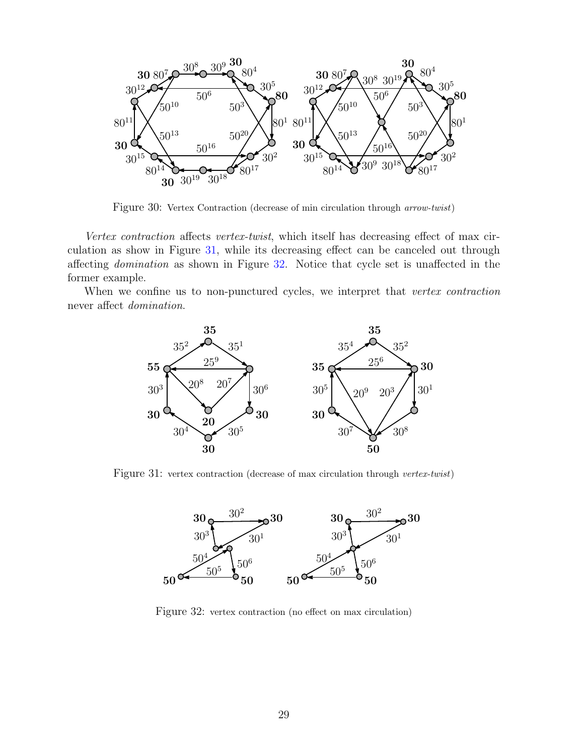

Figure 30: Vertex Contraction (decrease of min circulation through *arrow-twist*)

<span id="page-28-0"></span>*Vertex contraction* affects *vertex-twist*, which itself has decreasing effect of max circulation as show in Figure [31,](#page-28-1) while its decreasing effect can be canceled out through affecting *domination* as shown in Figure [32.](#page-28-2) Notice that cycle set is unaffected in the former example.

When we confine us to non-punctured cycles, we interpret that *vertex contraction* never affect *domination*.



<span id="page-28-1"></span>Figure 31: vertex contraction (decrease of max circulation through *vertex-twist*)



<span id="page-28-2"></span>Figure 32: vertex contraction (no effect on max circulation)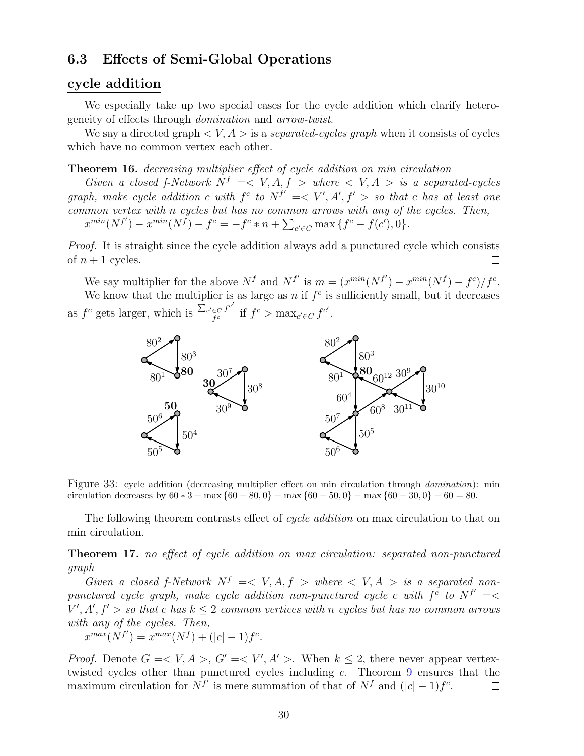### **6.3 Effects of Semi-Global Operations**

### **cycle addition**

We especially take up two special cases for the cycle addition which clarify heterogeneity of effects through *domination* and *arrow-twist*.

We say a directed graph *< V, A >* is a *separated-cycles graph* when it consists of cycles which have no common vertex each other.

<span id="page-29-0"></span>**Theorem 16.** *decreasing multiplier effect of cycle addition on min circulation*

*Given a closed f-Network*  $N^f \leq V$ ,  $A, f >$  *where*  $\lt V$ ,  $A >$  *is a separated-cycles graph, make cycle addition c* with  $f^c$  to  $N^{f'} \leq V'$ ,  $A'$ ,  $f' > so$  that *c* has at least one *common vertex with n cycles but has no common arrows with any of the cycles. Then,*  $x^{min}(N^{f'}) - x^{min}(N^f) - f^c = -f^c * n + \sum_{c' \in C} \max\{f^c - f(c'), 0\}.$ 

*Proof.* It is straight since the cycle addition always add a punctured cycle which consists of  $n+1$  cycles.  $\Box$ 

We say multiplier for the above  $N^f$  and  $N^{f'}$  is  $m = (x^{min}(N^{f'}) - x^{min}(N^f) - f^c)/f^c$ . We know that the multiplier is as large as  $n$  if  $f^c$  is sufficiently small, but it decreases as  $f^c$  gets larger, which is  $\frac{\sum_{c' \in C} f^{c'}}{f^c}$  $\int_{f^c}^{f^c}$  if  $f^c$  > max<sub>*c*' $\in$ *C*</sub>  $f^{c'}$ .



Figure 33: cycle addition (decreasing multiplier effect on min circulation through *domination*): min circulation decreases by  $60 * 3 - \max\{60 - 80, 0\} - \max\{60 - 50, 0\} - \max\{60 - 30, 0\} - 60 = 80$ .

The following theorem contrasts effect of *cycle addition* on max circulation to that on min circulation.

<span id="page-29-1"></span>**Theorem 17.** *no effect of cycle addition on max circulation: separated non-punctured graph*

*Given a closed f-Network*  $N^f \leq V$ ,  $A, f >$  *where*  $\lt V$ ,  $A >$  *is a separated nonpunctured cycle graph, make cycle addition non-punctured cycle c with*  $f^c$  *to*  $N^{f'} = \langle$  $V', A', f' > so that c has  $k \leq 2$  *common vertices with n cycles but has no common arrows*$ *with any of the cycles. Then,*

$$
x^{max}(N^{f'}) = x^{max}(N^{f}) + (|c| - 1)f^{c}.
$$

*Proof.* Denote  $G = \langle V, A \rangle, G' = \langle V', A' \rangle$ . When  $k \leq 2$ , there never appear vertextwisted cycles other than punctured cycles including *c*. Theorem [9](#page-22-0) ensures that the maximum circulation for  $N^{f'}$  is mere summation of that of  $N^f$  and  $(|c| - 1)f^c$ .  $\Box$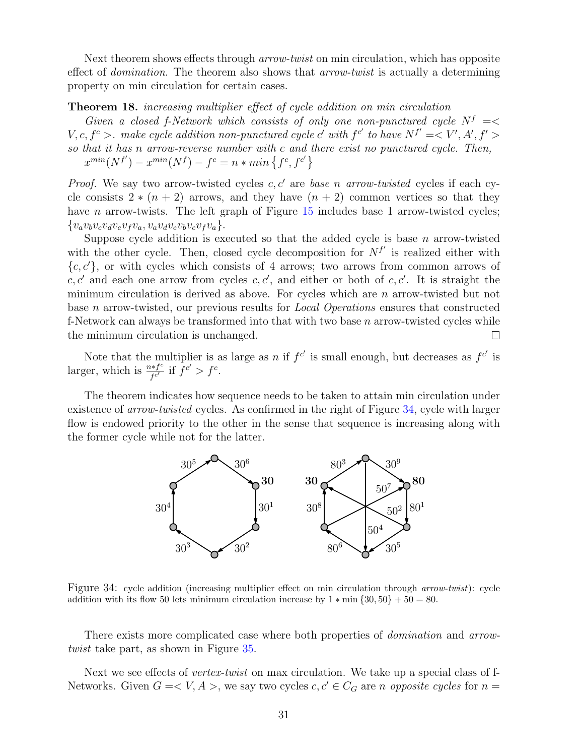Next theorem shows effects through *arrow-twist* on min circulation, which has opposite effect of *domination*. The theorem also shows that *arrow-twist* is actually a determining property on min circulation for certain cases.

#### <span id="page-30-0"></span>**Theorem 18.** *increasing multiplier effect of cycle addition on min circulation*

*Given a closed f-Network which consists of only one non-punctured cycle*  $N^f$  =  $V, c, f<sup>c</sup> >$ . make cycle addition non-punctured cycle c' with  $f<sup>c'</sup>$  to have  $N^{f'} = \langle V', A', f' \rangle$ *so that it has n arrow-reverse number with c and there exist no punctured cycle. Then,*  $x^{min}(N^{f'}) - x^{min}(N^{f}) - f^c = n * min\{f^c, f^{c'}\}$ 

*Proof.* We say two arrow-twisted cycles *c, c′* are *base n arrow-twisted* cycles if each cycle consists  $2 * (n + 2)$  arrows, and they have  $(n + 2)$  common vertices so that they have *n* arrow-twists. The left graph of Figure [15](#page-15-0) includes base 1 arrow-twisted cycles;  ${v_av_b v_c v_d v_e v_f v_a, v_a v_d v_e v_b v_c v_f v_a}.$ 

Suppose cycle addition is executed so that the added cycle is base *n* arrow-twisted with the other cycle. Then, closed cycle decomposition for  $N^{f'}$  is realized either with  ${c, c'}$ , or with cycles which consists of 4 arrows; two arrows from common arrows of  $c, c'$  and each one arrow from cycles  $c, c'$ , and either or both of  $c, c'$ . It is straight the minimum circulation is derived as above. For cycles which are *n* arrow-twisted but not base *n* arrow-twisted, our previous results for *Local Operations* ensures that constructed f-Network can always be transformed into that with two base *n* arrow-twisted cycles while the minimum circulation is unchanged.

Note that the multiplier is as large as *n* if  $f^{c'}$  is small enough, but decreases as  $f^{c'}$  is larger, which is  $\frac{n*f^c}{fc'}$  $\int_{f^{c'}}^{f^{c'}}$  if  $f^{c'} > f^{c}$ .

The theorem indicates how sequence needs to be taken to attain min circulation under existence of *arrow-twisted* cycles. As confirmed in the right of Figure [34,](#page-30-1) cycle with larger flow is endowed priority to the other in the sense that sequence is increasing along with the former cycle while not for the latter.



<span id="page-30-1"></span>Figure 34: cycle addition (increasing multiplier effect on min circulation through *arrow-twist*): cycle addition with its flow 50 lets minimum circulation increase by  $1 * min \{30, 50\} + 50 = 80$ .

There exists more complicated case where both properties of *domination* and *arrowtwist* take part, as shown in Figure [35.](#page-31-1)

Next we see effects of *vertex-twist* on max circulation. We take up a special class of f-Networks. Given  $G = \langle V, A \rangle$ , we say two cycles  $c, c' \in C_G$  are *n opposite cycles* for  $n =$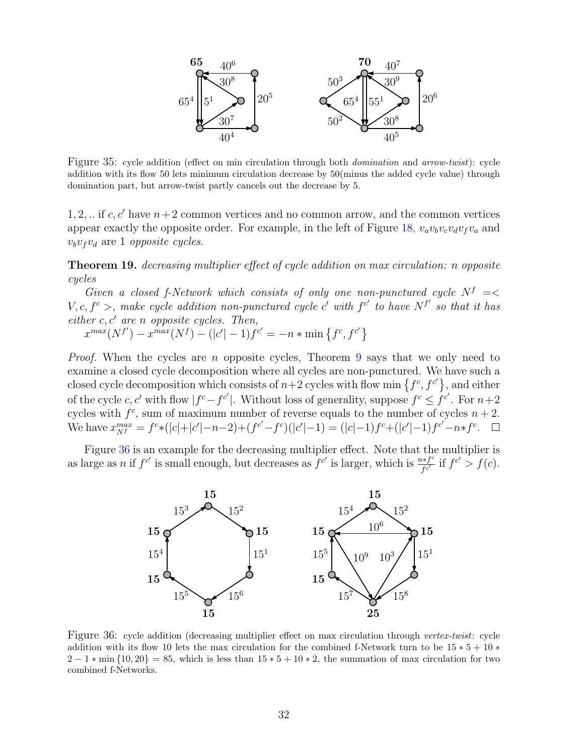

<span id="page-31-1"></span>Figure 35: cycle addition (effect on min circulation through both *domination* and *arrow-twist*): cycle addition with its flow 50 lets minimum circulation decrease by 50(minus the added cycle value) through domination part, but arrow-twist partly cancels out the decrease by 5.

1, 2, ... if  $c, c'$  have  $n+2$  common vertices and no common arrow, and the common vertices appear exactly the opposite order. For example, in the left of Figure [18,](#page-18-0)  $v_a v_b v_c v_d v_f v_a$  and  $v_b v_f v_d$  are 1 *opposite cycles*.

<span id="page-31-0"></span>**Theorem 19.** *decreasing multiplier effect of cycle addition on max circulation: n opposite cycles*

*Given a closed f-Network which consists of only one non-punctured cycle*  $N^f$  = *V*, *c*,  $f^c$  >, make cycle addition non-punctured cycle *c*' with  $f^{c'}$  to have  $N^{f'}$  so that it has *either c, c′ are n opposite cycles. Then,*

 $x^{max}(N^{f'}) - x^{max}(N^{f}) - (|c'|-1)f^{c'} = -n * min\{f^c, f^{c'}\}$ 

*Proof.* When the cycles are *n* opposite cycles, Theorem [9](#page-22-0) says that we only need to examine a closed cycle decomposition where all cycles are non-punctured. We have such a closed cycle decomposition which consists of  $n+2$  cycles with flow min  $\{f^c, f^{c'}\}$ , and either of the cycle *c*, *c'* with flow  $|f^c - f^{c'}|$ . Without loss of generality, suppose  $f^c \leq f^{c'}$ . For  $n+2$ cycles with  $f^c$ , sum of maximum number of reverse equals to the number of cycles  $n+2$ . We have  $x_{Nf}^{max} = f^{c} * (|c| + |c'| - n - 2) + (f^{c'} - f^{c})(|c'| - 1) = (|c| - 1)f^{c} + (|c'| - 1)f^{c'} - n * f^{c}$ .

Figure [36](#page-31-2) is an example for the decreasing multiplier effect. Note that the multiplier is as large as *n* if  $f^{c'}$  is small enough, but decreases as  $f^{c'}$  is larger, which is  $\frac{n * f^{c}}{f^{c'}}$  $f^{c'}(c) = f(c)$ .



<span id="page-31-2"></span>Figure 36: cycle addition (decreasing multiplier effect on max circulation through *vertex-twist*: cycle addition with its flow 10 lets the max circulation for the combined f-Network turn to be 15 *∗* 5 + 10 *∗* 2 *−* 1 *∗* min *{*10*,* 20*}* = 85, which is less than 15 *∗* 5 + 10 *∗* 2, the summation of max circulation for two combined f-Networks.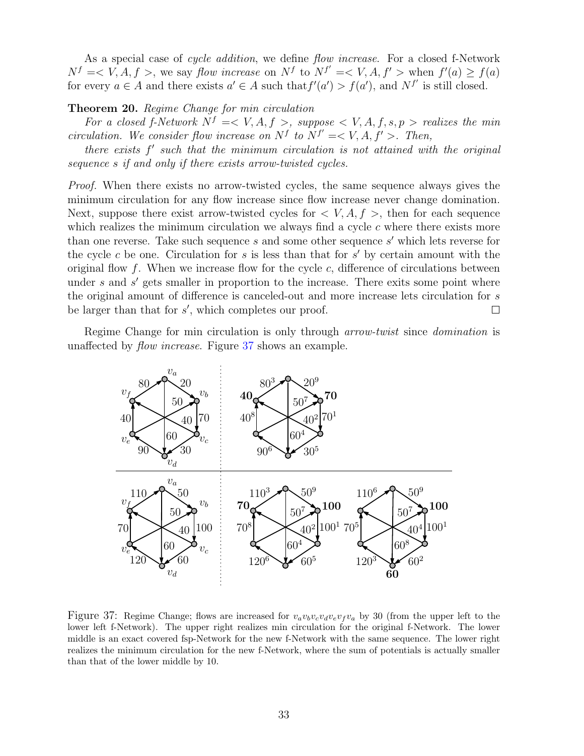As a special case of *cycle addition*, we define *flow increase*. For a closed f-Network  $N^f$  = < *V*, *A*, *f* >, we say *flow increase* on  $N^f$  to  $N^{f'}$  = < *V*, *A*, *f'* > when  $f'(a) \ge f(a)$ for every  $a \in A$  and there exists  $a' \in A$  such that  $f'(a') > f(a')$ , and  $N^{f'}$  is still closed.

#### **Theorem 20.** *Regime Change for min circulation*

*For a closed f-Network*  $N^f = \langle V, A, f \rangle$ , suppose  $\langle V, A, f, s, p \rangle$  realizes the min *circulation.* We consider flow increase on  $N^f$  to  $N^{f'} = \langle V, A, f' \rangle$ . Then,

*there exists f ′ such that the minimum circulation is not attained with the original sequence s if and only if there exists arrow-twisted cycles.*

*Proof.* When there exists no arrow-twisted cycles, the same sequence always gives the minimum circulation for any flow increase since flow increase never change domination. Next, suppose there exist arrow-twisted cycles for  $\langle V, A, f \rangle$ , then for each sequence which realizes the minimum circulation we always find a cycle *c* where there exists more than one reverse. Take such sequence *s* and some other sequence *s ′* which lets reverse for the cycle *c* be one. Circulation for *s* is less than that for *s ′* by certain amount with the original flow *f*. When we increase flow for the cycle *c*, difference of circulations between under *s* and *s'* gets smaller in proportion to the increase. There exits some point where the original amount of difference is canceled-out and more increase lets circulation for *s* be larger than that for *s ′* , which completes our proof.  $\Box$ 

Regime Change for min circulation is only through *arrow-twist* since *domination* is unaffected by *flow increase*. Figure [37](#page-32-0) shows an example.



<span id="page-32-0"></span>Figure 37: Regime Change; flows are increased for  $v_a v_b v_c v_d v_e v_f v_a$  by 30 (from the upper left to the lower left f-Network). The upper right realizes min circulation for the original f-Network. The lower middle is an exact covered fsp-Network for the new f-Network with the same sequence. The lower right realizes the minimum circulation for the new f-Network, where the sum of potentials is actually smaller than that of the lower middle by 10.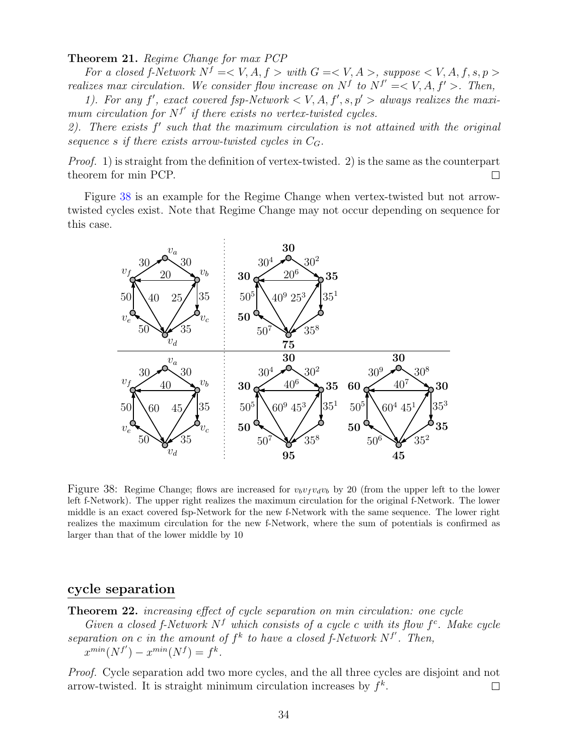**Theorem 21.** *Regime Change for max PCP*

*For a closed f-Network*  $N^f = \langle V, A, f \rangle$  *with*  $G = \langle V, A \rangle$ , suppose  $\langle V, A, f, s, p \rangle$ *realizes max circulation. We consider flow increase on*  $N^f$  to  $N^{f'} = \langle V, A, f' \rangle$ . Then,

1). For any  $f'$ , exact covered fsp-Network  $\lt V$ , A,  $f'$ ,  $s, p' >$  always realizes the maxi*mum circulation for*  $N^{f'}$  *if there exists no vertex-twisted cycles.* 

*2). There exists f ′ such that the maximum circulation is not attained with the original sequence s if there exists arrow-twisted cycles in CG.*

*Proof.* 1) is straight from the definition of vertex-twisted. 2) is the same as the counterpart theorem for min PCP.  $\Box$ 

Figure [38](#page-33-1) is an example for the Regime Change when vertex-twisted but not arrowtwisted cycles exist. Note that Regime Change may not occur depending on sequence for this case.



<span id="page-33-1"></span>Figure 38: Regime Change; flows are increased for  $v_b v_f v_d v_b$  by 20 (from the upper left to the lower left f-Network). The upper right realizes the maximum circulation for the original f-Network. The lower middle is an exact covered fsp-Network for the new f-Network with the same sequence. The lower right realizes the maximum circulation for the new f-Network, where the sum of potentials is confirmed as larger than that of the lower middle by 10

### **cycle separation**

<span id="page-33-0"></span>**Theorem 22.** *increasing effect of cycle separation on min circulation: one cycle*

*Given a closed f-Network*  $N^f$  *which consists of a cycle c with its flow*  $f^c$ . Make cycle separation on *c* in the amount of  $f^k$  to have a closed f-Network  $N^{f'}$ . Then,  $x^{min}(N^{f'}) - x^{min}(N^{f}) = f^k$ .

*Proof.* Cycle separation add two more cycles, and the all three cycles are disjoint and not arrow-twisted. It is straight minimum circulation increases by *f k* .  $\Box$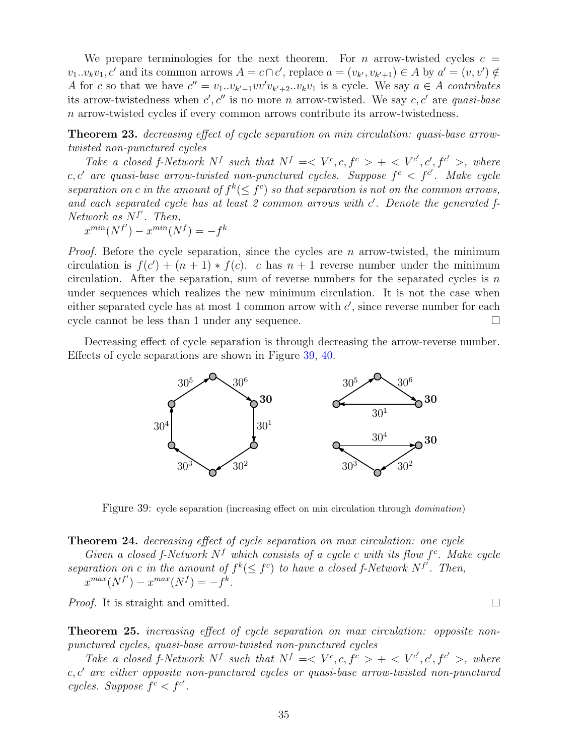We prepare terminologies for the next theorem. For  $n$  arrow-twisted cycles  $c =$  $v_1...v_kv_1, c'$  and its common arrows  $A = c \cap c'$ , replace  $a = (v_{k'}, v_{k'+1}) \in A$  by  $a' = (v, v') \notin A$ A for c so that we have  $c'' = v_1 \tcdot v_{k'-1} v v' v_{k'+2} \tcdot v_k v_1$  is a cycle. We say  $a \in A$  contributes its arrow-twistedness when *c ′ , c′′* is no more *n* arrow-twisted. We say *c, c′* are *quasi-base n* arrow-twisted cycles if every common arrows contribute its arrow-twistedness.

<span id="page-34-0"></span>**Theorem 23.** *decreasing effect of cycle separation on min circulation: quasi-base arrowtwisted non-punctured cycles*

Take a closed f-Network  $N^f$  such that  $N^f \leq V^c, c, f^c > + \langle V^{c'}, c', f^{c'} \rangle$ , where  $c, c'$  are quasi-base arrow-twisted non-punctured cycles. Suppose  $f^c < f^{c'}$ . Make cycle *separation on c* in the amount of  $f^k(\leq f^c)$  so that separation is not on the common arrows, *and each separated cycle has at least 2 common arrows with c ′ . Denote the generated f-Network as N<sup>f</sup> ′ . Then,*

 $x^{min}(N^{f'}) - x^{min}(N^{f}) = -f^{k}$ 

*Proof.* Before the cycle separation, since the cycles are *n* arrow-twisted, the minimum circulation is  $f(c') + (n + 1) * f(c)$ . *c* has  $n + 1$  reverse number under the minimum circulation. After the separation, sum of reverse numbers for the separated cycles is *n* under sequences which realizes the new minimum circulation. It is not the case when either separated cycle has at most 1 common arrow with  $c'$ , since reverse number for each cycle cannot be less than 1 under any sequence.  $\Box$ 

Decreasing effect of cycle separation is through decreasing the arrow-reverse number. Effects of cycle separations are shown in Figure [39,](#page-34-3) [40.](#page-35-0)



<span id="page-34-3"></span>Figure 39: cycle separation (increasing effect on min circulation through *domination*)

<span id="page-34-1"></span>**Theorem 24.** *decreasing effect of cycle separation on max circulation: one cycle*

*Given a closed f-Network*  $N^f$  *which consists of a cycle c with its flow*  $f^c$ . Make cycle *separation on c in the amount of*  $f^k$ ( $\leq f^c$ ) *to have a closed*  $f$ -Network  $N^{f'}$ . Then,  $x^{max}(N^{f'}) - x^{max}(N^{f}) = -f^{k}$ .

*Proof.* It is straight and omitted.

<span id="page-34-2"></span>**Theorem 25.** *increasing effect of cycle separation on max circulation: opposite nonpunctured cycles, quasi-base arrow-twisted non-punctured cycles*

Take a closed f-Network  $N^f$  such that  $N^f \leq V^c, c, f^c > + \langle V^{c'}, c', f^{c'} \rangle$ , where *c, c′ are either opposite non-punctured cycles or quasi-base arrow-twisted non-punctured cycles. Suppose*  $f^c < f^{c'}$ .

 $\Box$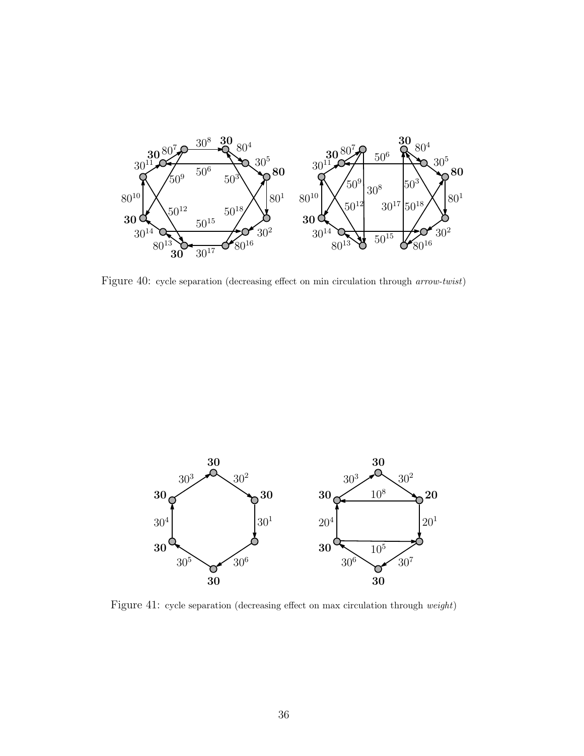

<span id="page-35-0"></span>Figure 40: cycle separation (decreasing effect on min circulation through *arrow-twist*)



Figure 41: cycle separation (decreasing effect on max circulation through *weight*)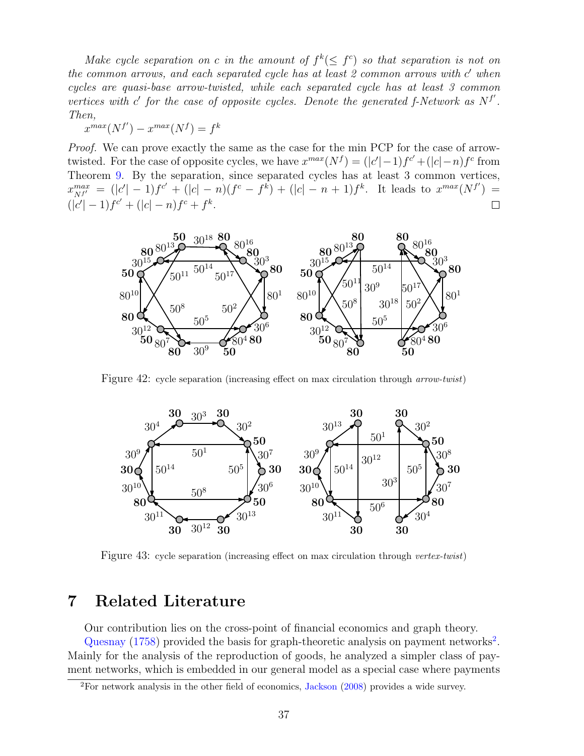*Make cycle separation on c* in the amount of  $f^k(\leq f^c)$  so that separation is not on *the common arrows, and each separated cycle has at least 2 common arrows with c ′ when cycles are quasi-base arrow-twisted, while each separated cycle has at least 3 common vertices with c'* for the case of opposite cycles. Denote the generated f-Network as  $N^{f'}$ . *Then,*

 $x^{max}(N^f) - x^{max}(N^f) = f^k$ 

*Proof.* We can prove exactly the same as the case for the min PCP for the case of arrowtwisted. For the case of opposite cycles, we have  $x^{max}(N^f) = (|c'|-1)f^{c'} + (|c|-n)f^{c}$  from Theorem [9.](#page-22-0) By the separation, since separated cycles has at least 3 common vertices,  $x_{N^{f'}}^{max} = (|c'|-1)f^{c'} + (|c|-n)(f^{c}-f^{k}) + (|c|-n+1)f^{k}$ . It leads to  $x^{max}(N^{f'}) =$  $(|c'|-1)f^{c'}+(|c|-n)f^c+f^k$ .



Figure 42: cycle separation (increasing effect on max circulation through *arrow-twist*)



Figure 43: cycle separation (increasing effect on max circulation through *vertex-twist*)

## <span id="page-36-0"></span>**7 Related Literature**

Our contribution lies on the cross-point of financial economics and graph theory. [Quesnay](#page-43-3)  $(1758)$  provided the basis for graph-theoretic analysis on payment networks<sup>[2](#page-36-1)</sup>. Mainly for the analysis of the reproduction of goods, he analyzed a simpler class of payment networks, which is embedded in our general model as a special case where payments

<span id="page-36-1"></span>For network analysis in the other field of economics, [Jackson](#page-43-4) [\(2008\)](#page-43-4) provides a wide survey.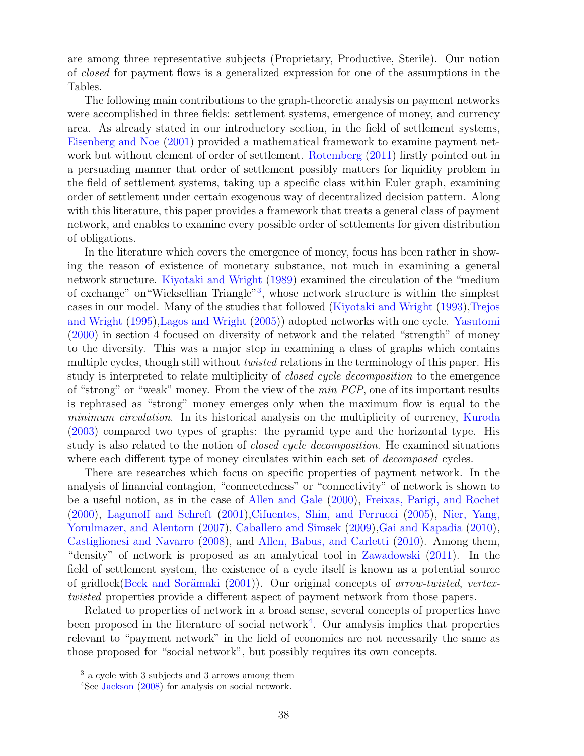are among three representative subjects (Proprietary, Productive, Sterile). Our notion of *closed* for payment flows is a generalized expression for one of the assumptions in the Tables.

The following main contributions to the graph-theoretic analysis on payment networks were accomplished in three fields: settlement systems, emergence of money, and currency area. As already stated in our introductory section, in the field of settlement systems, [Eisenberg and Noe](#page-43-0) [\(2001\)](#page-43-0) provided a mathematical framework to examine payment network but without element of order of settlement. [Rotemberg](#page-43-1) [\(2011\)](#page-43-1) firstly pointed out in a persuading manner that order of settlement possibly matters for liquidity problem in the field of settlement systems, taking up a specific class within Euler graph, examining order of settlement under certain exogenous way of decentralized decision pattern. Along with this literature, this paper provides a framework that treats a general class of payment network, and enables to examine every possible order of settlements for given distribution of obligations.

In the literature which covers the emergence of money, focus has been rather in showing the reason of existence of monetary substance, not much in examining a general network structure. [Kiyotaki and Wright](#page-43-5) [\(1989\)](#page-43-5) examined the circulation of the "medium of exchange" on "Wicksellian Triangle"<sup>[3](#page-37-0)</sup>, whose network structure is within the simplest cases in our model. Many of the studies that followed [\(Kiyotaki and Wright](#page-43-6) [\(1993\)](#page-43-6)[,Trejos](#page-44-0) [and Wright](#page-44-0) [\(1995\)](#page-44-0)[,Lagos and Wright](#page-43-7) [\(2005\)](#page-43-7)) adopted networks with one cycle. [Yasutomi](#page-44-1) [\(2000\)](#page-44-1) in section 4 focused on diversity of network and the related "strength" of money to the diversity. This was a major step in examining a class of graphs which contains multiple cycles, though still without *twisted* relations in the terminology of this paper. His study is interpreted to relate multiplicity of *closed cycle decomposition* to the emergence of "strong" or "weak" money. From the view of the *min PCP*, one of its important results is rephrased as "strong" money emerges only when the maximum flow is equal to the *minimum circulation*. In its historical analysis on the multiplicity of currency, [Kuroda](#page-43-8) [\(2003\)](#page-43-8) compared two types of graphs: the pyramid type and the horizontal type. His study is also related to the notion of *closed cycle decomposition*. He examined situations where each different type of money circulates within each set of *decomposed* cycles.

There are researches which focus on specific properties of payment network. In the analysis of financial contagion, "connectedness" or "connectivity" of network is shown to be a useful notion, as in the case of [Allen and Gale](#page-42-0) [\(2000\)](#page-42-0), [Freixas, Parigi, and Rochet](#page-43-9) [\(2000\)](#page-43-9), [Lagunoff and Schreft](#page-43-10) [\(2001\)](#page-43-10)[,Cifuentes, Shin, and Ferrucci](#page-43-11) [\(2005\)](#page-43-11), [Nier, Yang,](#page-43-12) [Yorulmazer, and Alentorn](#page-43-12) [\(2007\)](#page-43-12), [Caballero and Simsek](#page-42-1) [\(2009\)](#page-42-1), Gai and Kapadia [\(2010\)](#page-43-13), [Castiglionesi and Navarro](#page-42-2) [\(2008\)](#page-42-2), and [Allen, Babus, and Carletti](#page-42-3) [\(2010\)](#page-42-3). Among them, "density" of network is proposed as an analytical tool in [Zawadowski](#page-44-2) [\(2011\)](#page-44-2). In the field of settlement system, the existence of a cycle itself is known as a potential source of gridlock(Beck and Sorämaki [\(2001\)](#page-42-4)). Our original concepts of *arrow-twisted*, *vertextwisted* properties provide a different aspect of payment network from those papers.

Related to properties of network in a broad sense, several concepts of properties have been proposed in the literature of social network<sup>[4](#page-37-1)</sup>. Our analysis implies that properties relevant to "payment network" in the field of economics are not necessarily the same as those proposed for "social network", but possibly requires its own concepts.

<span id="page-37-0"></span><sup>3</sup> a cycle with 3 subjects and 3 arrows among them

<span id="page-37-1"></span> $4$ See [Jackson](#page-43-4) [\(2008\)](#page-43-4) for analysis on social network.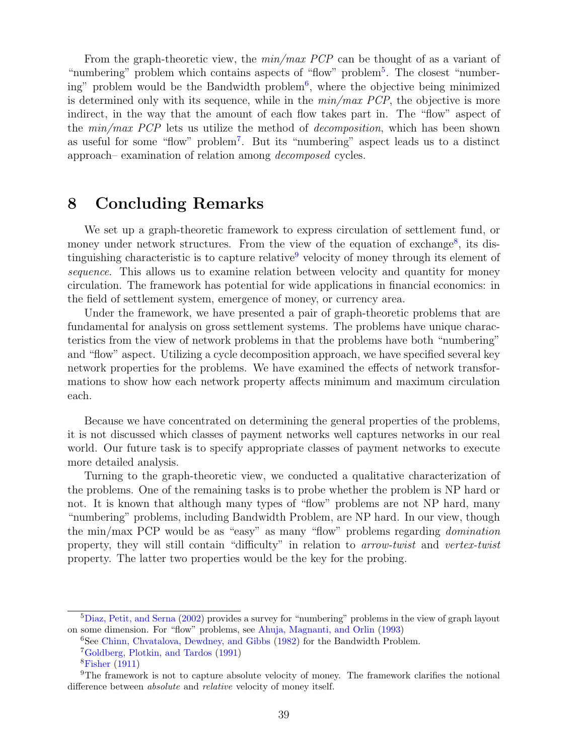From the graph-theoretic view, the *min/max PCP* can be thought of as a variant of "numbering" problem which contains aspects of "flow" problem<sup>[5](#page-38-1)</sup>. The closest "number-ing" problem would be the Bandwidth problem<sup>[6](#page-38-2)</sup>, where the objective being minimized is determined only with its sequence, while in the *min/max PCP*, the objective is more indirect, in the way that the amount of each flow takes part in. The "flow" aspect of the *min/max PCP* lets us utilize the method of *decomposition*, which has been shown as useful for some "flow" problem[7](#page-38-3) . But its "numbering" aspect leads us to a distinct approach– examination of relation among *decomposed* cycles.

## <span id="page-38-0"></span>**8 Concluding Remarks**

We set up a graph-theoretic framework to express circulation of settlement fund, or money under network structures. From the view of the equation of exchange<sup>[8](#page-38-4)</sup>, its distinguishing characteristic is to capture relative velocity of money through its element of *sequence*. This allows us to examine relation between velocity and quantity for money circulation. The framework has potential for wide applications in financial economics: in the field of settlement system, emergence of money, or currency area.

Under the framework, we have presented a pair of graph-theoretic problems that are fundamental for analysis on gross settlement systems. The problems have unique characteristics from the view of network problems in that the problems have both "numbering" and "flow" aspect. Utilizing a cycle decomposition approach, we have specified several key network properties for the problems. We have examined the effects of network transformations to show how each network property affects minimum and maximum circulation each.

Because we have concentrated on determining the general properties of the problems, it is not discussed which classes of payment networks well captures networks in our real world. Our future task is to specify appropriate classes of payment networks to execute more detailed analysis.

Turning to the graph-theoretic view, we conducted a qualitative characterization of the problems. One of the remaining tasks is to probe whether the problem is NP hard or not. It is known that although many types of "flow" problems are not NP hard, many "numbering" problems, including Bandwidth Problem, are NP hard. In our view, though the min/max PCP would be as "easy" as many "flow" problems regarding *domination* property, they will still contain "difficulty" in relation to *arrow-twist* and *vertex-twist* property. The latter two properties would be the key for the probing.

<span id="page-38-1"></span><sup>5</sup>[Diaz, Petit, and Serna](#page-43-14) [\(2002\)](#page-43-14) provides a survey for "numbering" problems in the view of graph layout on some dimension. For "flow" problems, see [Ahuja, Magnanti, and Orlin](#page-42-5) [\(1993\)](#page-42-5)

<span id="page-38-2"></span><sup>&</sup>lt;sup>6</sup>See [Chinn, Chvatalova, Dewdney, and Gibbs](#page-42-6) [\(1982\)](#page-42-6) for the Bandwidth Problem.

<span id="page-38-3"></span><sup>7</sup>[Goldberg, Plotkin, and Tardos](#page-43-15) [\(1991\)](#page-43-15)

<span id="page-38-5"></span><span id="page-38-4"></span><sup>8</sup>[Fisher](#page-43-16) [\(1911\)](#page-43-16)

<sup>&</sup>lt;sup>9</sup>The framework is not to capture absolute velocity of money. The framework clarifies the notional difference between *absolute* and *relative* velocity of money itself.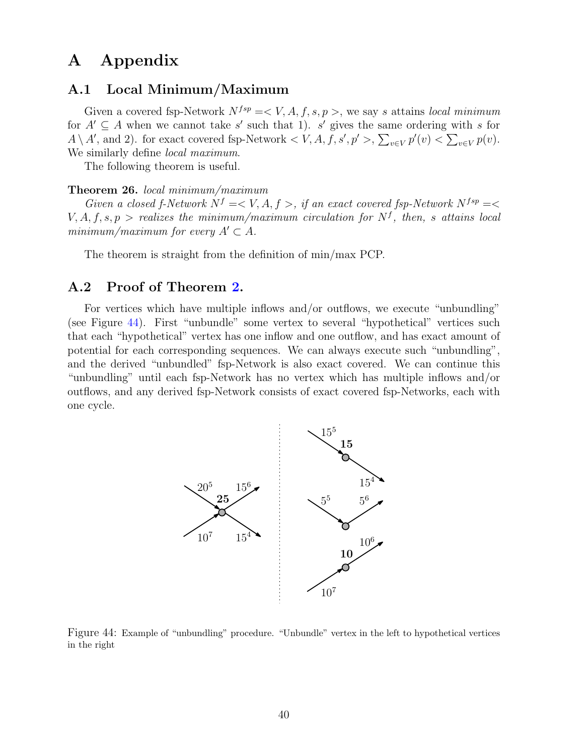## **A Appendix**

### **A.1 Local Minimum/Maximum**

Given a covered fsp-Network  $N^{fsp} = \langle V, A, f, s, p \rangle$ , we say *s* attains *local minimum* for  $A' \subseteq A$  when we cannot take *s'* such that 1). *s'* gives the same ordering with *s* for  $A \setminus A'$ , and 2). for exact covered fsp-Network  $\lt V$ ,  $A$ ,  $f$ ,  $s'$ ,  $p' >$ ,  $\sum_{v \in V} p'(v) < \sum_{v \in V} p(v)$ . We similarly define *local maximum*.

The following theorem is useful.

#### <span id="page-39-2"></span>**Theorem 26.** *local minimum/maximum*

*Given a closed f-Network*  $N^f = \langle V, A, f \rangle$ , *if an exact covered fsp-Network*  $N^{fsp} = \langle$  $V, A, f, s, p >$  *realizes the minimum/maximum circulation for*  $N<sup>f</sup>$ , *then, s attains local minimum/maximum for every*  $A' \subset A$ .

The theorem is straight from the definition of min/max PCP.

### <span id="page-39-0"></span>**A.2 Proof of Theorem [2.](#page-11-3)**

For vertices which have multiple inflows and*/*or outflows, we execute "unbundling" (see Figure [44\)](#page-39-1). First "unbundle" some vertex to several "hypothetical" vertices such that each "hypothetical" vertex has one inflow and one outflow, and has exact amount of potential for each corresponding sequences. We can always execute such "unbundling", and the derived "unbundled" fsp-Network is also exact covered. We can continue this "unbundling" until each fsp-Network has no vertex which has multiple inflows and/or outflows, and any derived fsp-Network consists of exact covered fsp-Networks, each with one cycle.



<span id="page-39-1"></span>Figure 44: Example of "unbundling" procedure. "Unbundle" vertex in the left to hypothetical vertices in the right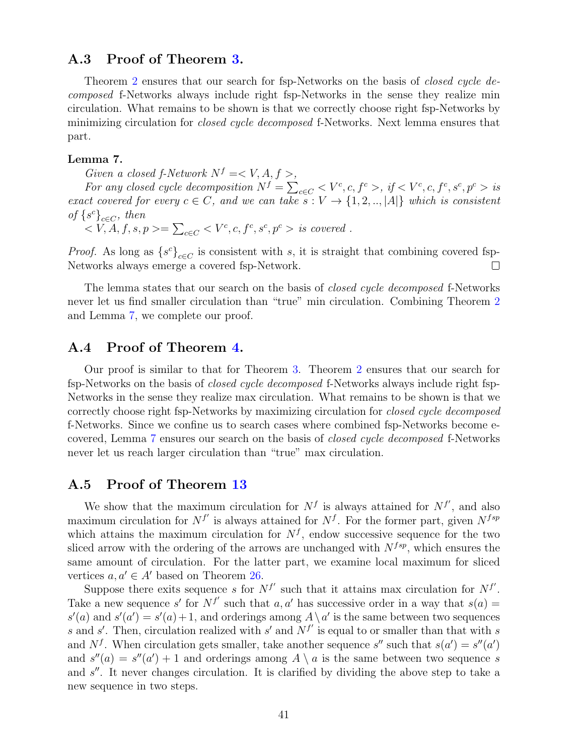### <span id="page-40-0"></span>**A.3 Proof of Theorem [3.](#page-12-1)**

Theorem [2](#page-11-3) ensures that our search for fsp-Networks on the basis of *closed cycle decomposed* f-Networks always include right fsp-Networks in the sense they realize min circulation. What remains to be shown is that we correctly choose right fsp-Networks by minimizing circulation for *closed cycle decomposed* f-Networks. Next lemma ensures that part.

#### <span id="page-40-3"></span>**Lemma 7.**

*Given a closed f-Network*  $N^f = \langle V, A, f \rangle$ ,

For any closed cycle decomposition  $N^f = \sum_{c \in C} \langle V^c, c, f^c \rangle$ , if  $\langle V^c, c, f^c, s^c, p^c \rangle$  is *exact covered for every*  $c \in C$ *, and we can take*  $s: V \to \{1, 2, \ldots, |A|\}$  *which is consistent of*  $\{s^c\}_{c \in C}$ *, then* 

$$
\langle V, A, f, s, p \rangle = \sum_{c \in C} \langle V^c, c, f^c, s^c, p^c \rangle \text{ is covered.}
$$

*Proof.* As long as  $\{s^c\}_{c \in C}$  is consistent with *s*, it is straight that combining covered fsp-Networks always emerge a covered fsp-Network.  $\Box$ 

The lemma states that our search on the basis of *closed cycle decomposed* f-Networks never let us find smaller circulation than "true" min circulation. Combining Theorem [2](#page-11-3) and Lemma [7,](#page-40-3) we complete our proof.

### <span id="page-40-1"></span>**A.4 Proof of Theorem [4.](#page-12-2)**

Our proof is similar to that for Theorem [3.](#page-12-1) Theorem [2](#page-11-3) ensures that our search for fsp-Networks on the basis of *closed cycle decomposed* f-Networks always include right fsp-Networks in the sense they realize max circulation. What remains to be shown is that we correctly choose right fsp-Networks by maximizing circulation for *closed cycle decomposed* f-Networks. Since we confine us to search cases where combined fsp-Networks become ecovered, Lemma [7](#page-40-3) ensures our search on the basis of *closed cycle decomposed* f-Networks never let us reach larger circulation than "true" max circulation.

### <span id="page-40-2"></span>**A.5 Proof of Theorem [13](#page-25-2)**

We show that the maximum circulation for  $N<sup>f</sup>$  is always attained for  $N<sup>f</sup>'$ , and also maximum circulation for  $N^{f'}$  is always attained for  $N^f$ . For the former part, given  $N^{fsp}$ which attains the maximum circulation for  $N<sup>f</sup>$ , endow successive sequence for the two sliced arrow with the ordering of the arrows are unchanged with  $N^{fsp}$ , which ensures the same amount of circulation. For the latter part, we examine local maximum for sliced vertices  $a, a' \in A'$  based on Theorem [26.](#page-39-2)

Suppose there exits sequence *s* for  $N^{f'}$  such that it attains max circulation for  $N^{f'}$ . Take a new sequence *s'* for  $N^{f'}$  such that *a, a'* has successive order in a way that  $s(a)$  =  $s'(a)$  and  $s'(a') = s'(a) + 1$ , and orderings among  $A \setminus a'$  is the same between two sequences *s* and *s*<sup> $\prime$ </sup>. Then, circulation realized with *s*<sup> $\prime$ </sup> and  $N^{f'}$  is equal to or smaller than that with *s* and  $N^f$ . When circulation gets smaller, take another sequence *s''* such that  $s(a') = s''(a')$ and  $s''(a) = s''(a') + 1$  and orderings among  $A \setminus a$  is the same between two sequence *s* and *s ′′*. It never changes circulation. It is clarified by dividing the above step to take a new sequence in two steps.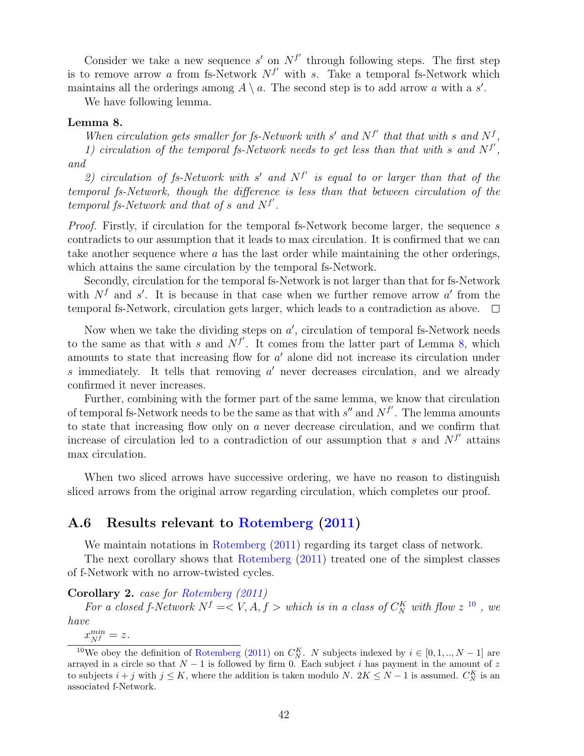Consider we take a new sequence  $s'$  on  $N^{f'}$  through following steps. The first step is to remove arrow *a* from fs-Network  $N^{f'}$  with *s*. Take a temporal fs-Network which maintains all the orderings among  $A \setminus a$ . The second step is to add arrow *a* with a *s'*.

We have following lemma.

#### <span id="page-41-0"></span>**Lemma 8.**

*When circulation gets smaller for fs-Network with s' and*  $N^{f'}$  *that that with s* and  $N^f$ , 1) circulation of the temporal fs-Network needs to get less than that with  $s$  and  $N^{f'}$ , *and*

*2) circulation of fs-Network with s ′ and N<sup>f</sup> ′ is equal to or larger than that of the temporal fs-Network, though the difference is less than that between circulation of the temporal fs-Network and that of s and N<sup>f</sup> ′ .*

*Proof.* Firstly, if circulation for the temporal fs-Network become larger, the sequence *s* contradicts to our assumption that it leads to max circulation. It is confirmed that we can take another sequence where *a* has the last order while maintaining the other orderings, which attains the same circulation by the temporal fs-Network.

Secondly, circulation for the temporal fs-Network is not larger than that for fs-Network with  $N<sup>f</sup>$  and *s'*. It is because in that case when we further remove arrow *a'* from the temporal fs-Network, circulation gets larger, which leads to a contradiction as above.  $\Box$ 

Now when we take the dividing steps on  $a'$ , circulation of temporal fs-Network needs to the same as that with *s* and  $N^{f'}$ . It comes from the latter part of Lemma [8,](#page-41-0) which amounts to state that increasing flow for *a ′* alone did not increase its circulation under *s* immediately. It tells that removing *a ′* never decreases circulation, and we already confirmed it never increases.

Further, combining with the former part of the same lemma, we know that circulation of temporal fs-Network needs to be the same as that with *s ′′* and *N<sup>f</sup> ′* . The lemma amounts to state that increasing flow only on *a* never decrease circulation, and we confirm that increase of circulation led to a contradiction of our assumption that *s* and  $N^{f'}$  attains max circulation.

When two sliced arrows have successive ordering, we have no reason to distinguish sliced arrows from the original arrow regarding circulation, which completes our proof.

### **A.6 Results relevant to [Rotemberg](#page-43-1) [\(2011\)](#page-43-1)**

We maintain notations in [Rotemberg](#page-43-1)  $(2011)$  regarding its target class of network.

The next corollary shows that [Rotemberg](#page-43-1) [\(2011\)](#page-43-1) treated one of the simplest classes of f-Network with no arrow-twisted cycles.

**Corollary 2.** *case for [Rotemberg](#page-43-1) [\(2011\)](#page-43-1)*

*For a closed f-Network*  $N^f = \langle V, A, f \rangle$  *which is in a class of*  $C_N^K$  *with flow*  $z^{10}$  $z^{10}$  $z^{10}$ , *we have*

<span id="page-41-1"></span> $x_{Nf}^{min} = z.$ 

<sup>&</sup>lt;sup>10</sup>We obey the definition of [Rotemberg](#page-43-1) [\(2011\)](#page-43-1) on  $C_N^K$ . *N* subjects indexed by  $i \in [0, 1, ..., N - 1]$  are arrayed in a circle so that  $N-1$  is followed by firm 0. Each subject *i* has payment in the amount of  $z$ to subjects  $i + j$  with  $j \leq K$ , where the addition is taken modulo *N*.  $2K \leq N - 1$  is assumed.  $C_N^K$  is an associated f-Network.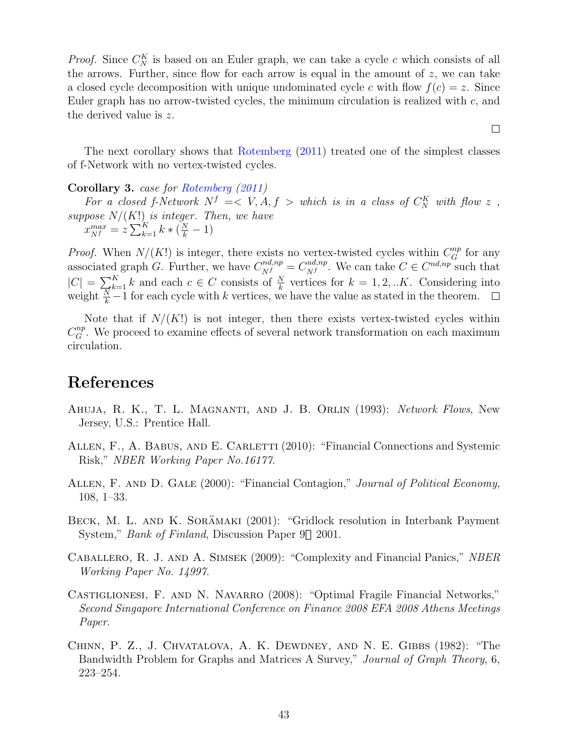*Proof.* Since  $C_N^K$  is based on an Euler graph, we can take a cycle *c* which consists of all the arrows. Further, since flow for each arrow is equal in the amount of *z*, we can take a closed cycle decomposition with unique undominated cycle *c* with flow  $f(c) = z$ . Since Euler graph has no arrow-twisted cycles, the minimum circulation is realized with *c*, and the derived value is *z*.

The next corollary shows that [Rotemberg](#page-43-1) [\(2011\)](#page-43-1) treated one of the simplest classes of f-Network with no vertex-twisted cycles.

#### **Corollary 3.** *case for [Rotemberg](#page-43-1) [\(2011\)](#page-43-1)*

*For a closed f-Network*  $N^f \leq V$ ,  $A, f >$  *which is in a class of*  $C_N^K$  *with flow*  $z$ , *suppose N/*(*K*!) *is integer. Then, we have*  $x_{Nf}^{max} = z \sum_{k=1}^{K} k * (\frac{N}{k} - 1)$ 

*Proof.* When  $N/(K!)$  is integer, there exists no vertex-twisted cycles within  $C_G^{np}$  for any associated graph *G*. Further, we have  $C_{Nf}^{nd, np} = C_{Nf}^{ud, np}$  $N$ <sup>*N*</sup></sub>. We can take  $C \in C^{nd, np}$  such that  $|C| = \sum_{k=1}^{K} k$  and each *c* ∈ *C* consists of  $\frac{N}{k}$  vertices for *k* = 1*,* 2*, ..K*. Considering into weight  $\frac{N}{k} - 1$  for each cycle with *k* vertices, we have the value as stated in the theorem.

Note that if  $N/(K!)$  is not integer, then there exists vertex-twisted cycles within  $C_G^{np}$ . We proceed to examine effects of several network transformation on each maximum circulation.

## **References**

- <span id="page-42-5"></span>Ahuja, R. K., T. L. Magnanti, and J. B. Orlin (1993): *Network Flows*, New Jersey, U.S.: Prentice Hall.
- <span id="page-42-3"></span>ALLEN, F., A. BABUS, AND E. CARLETTI (2010): "Financial Connections and Systemic Risk," *NBER Working Paper No.16177*.
- <span id="page-42-0"></span>Allen, F. and D. Gale (2000): "Financial Contagion," *Journal of Political Economy*, 108, 1–33.
- <span id="page-42-4"></span>BECK, M. L. AND K. SORÄMAKI (2001): "Gridlock resolution in Interbank Payment System," *Bank of Finland*, Discussion Paper 9 2001.
- <span id="page-42-1"></span>Caballero, R. J. and A. Simsek (2009): "Complexity and Financial Panics," *NBER Working Paper No. 14997*.
- <span id="page-42-2"></span>CASTIGLIONESI, F. AND N. NAVARRO (2008): "Optimal Fragile Financial Networks," *Second Singapore International Conference on Finance 2008 EFA 2008 Athens Meetings Paper*.
- <span id="page-42-6"></span>Chinn, P. Z., J. Chvatalova, A. K. Dewdney, and N. E. Gibbs (1982): "The Bandwidth Problem for Graphs and Matrices A Survey," *Journal of Graph Theory*, 6, 223–254.

 $\Box$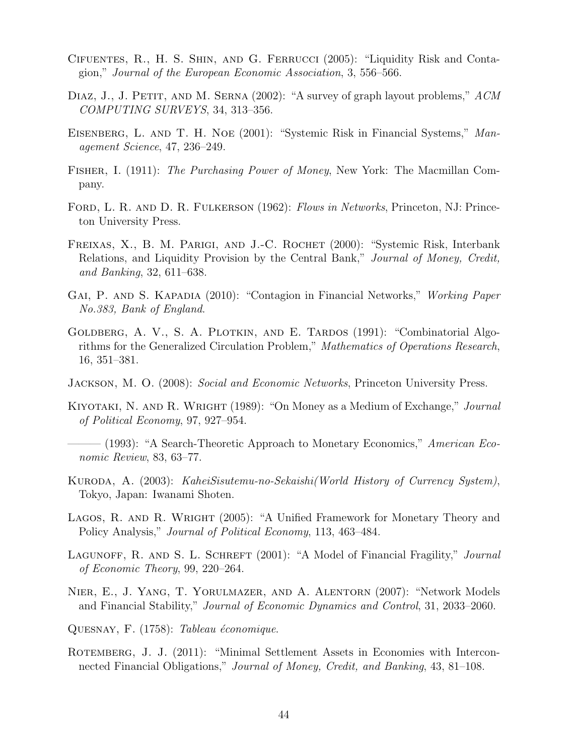- <span id="page-43-11"></span>Cifuentes, R., H. S. Shin, and G. Ferrucci (2005): "Liquidity Risk and Contagion," *Journal of the European Economic Association*, 3, 556–566.
- <span id="page-43-14"></span>Diaz, J., J. Petit, and M. Serna (2002): "A survey of graph layout problems," *ACM COMPUTING SURVEYS*, 34, 313–356.
- <span id="page-43-0"></span>Eisenberg, L. and T. H. Noe (2001): "Systemic Risk in Financial Systems," *Management Science*, 47, 236–249.
- <span id="page-43-16"></span>Fisher, I. (1911): *The Purchasing Power of Money*, New York: The Macmillan Company.
- <span id="page-43-2"></span>Ford, L. R. and D. R. Fulkerson (1962): *Flows in Networks*, Princeton, NJ: Princeton University Press.
- <span id="page-43-9"></span>FREIXAS, X., B. M. PARIGI, AND J.-C. ROCHET (2000): "Systemic Risk, Interbank Relations, and Liquidity Provision by the Central Bank," *Journal of Money, Credit, and Banking*, 32, 611–638.
- <span id="page-43-13"></span>Gai, P. and S. Kapadia (2010): "Contagion in Financial Networks," *Working Paper No.383, Bank of England*.
- <span id="page-43-15"></span>GOLDBERG, A. V., S. A. PLOTKIN, AND E. TARDOS (1991): "Combinatorial Algorithms for the Generalized Circulation Problem," *Mathematics of Operations Research*, 16, 351–381.
- <span id="page-43-4"></span>Jackson, M. O. (2008): *Social and Economic Networks*, Princeton University Press.
- <span id="page-43-5"></span>Kiyotaki, N. and R. Wright (1989): "On Money as a Medium of Exchange," *Journal of Political Economy*, 97, 927–954.
- <span id="page-43-6"></span>——— (1993): "A Search-Theoretic Approach to Monetary Economics," *American Economic Review*, 83, 63–77.
- <span id="page-43-8"></span>Kuroda, A. (2003): *KaheiSisutemu-no-Sekaishi(World History of Currency System)*, Tokyo, Japan: Iwanami Shoten.
- <span id="page-43-7"></span>LAGOS, R. AND R. WRIGHT (2005): "A Unified Framework for Monetary Theory and Policy Analysis," *Journal of Political Economy*, 113, 463–484.
- <span id="page-43-10"></span>LAGUNOFF, R. AND S. L. SCHREFT (2001): "A Model of Financial Fragility," *Journal of Economic Theory*, 99, 220–264.
- <span id="page-43-12"></span>Nier, E., J. Yang, T. Yorulmazer, and A. Alentorn (2007): "Network Models and Financial Stability," *Journal of Economic Dynamics and Control*, 31, 2033–2060.
- <span id="page-43-3"></span>QUESNAY, F. (1758): *Tableau économique*.
- <span id="page-43-1"></span>ROTEMBERG, J. J. (2011): "Minimal Settlement Assets in Economies with Interconnected Financial Obligations," *Journal of Money, Credit, and Banking*, 43, 81–108.